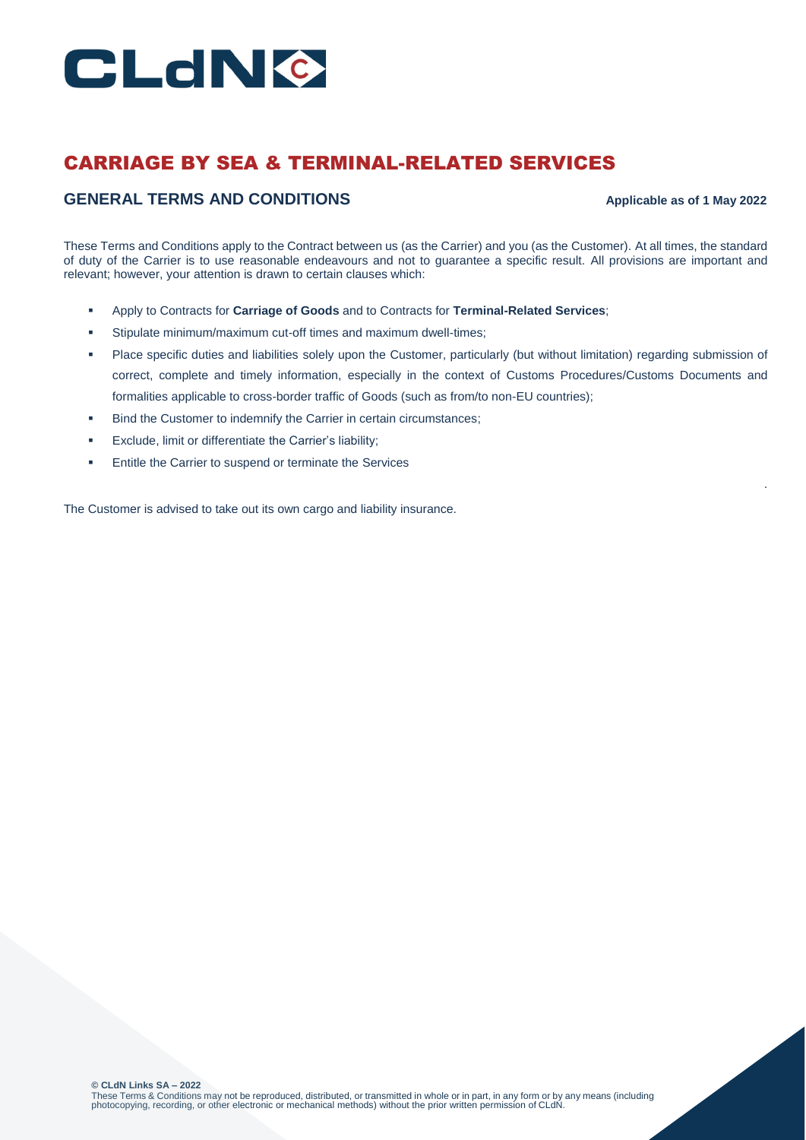

# CARRIAGE BY SEA & TERMINAL-RELATED SERVICES

# **GENERAL TERMS AND CONDITIONS Applicable as of 1 May 2022**

.

These Terms and Conditions apply to the Contract between us (as the Carrier) and you (as the Customer). At all times, the standard of duty of the Carrier is to use reasonable endeavours and not to guarantee a specific result. All provisions are important and relevant; however, your attention is drawn to certain clauses which:

- Apply to Contracts for **Carriage of Goods** and to Contracts for **Terminal-Related Services**;
- Stipulate minimum/maximum cut-off times and maximum dwell-times;
- Place specific duties and liabilities solely upon the Customer, particularly (but without limitation) regarding submission of correct, complete and timely information, especially in the context of Customs Procedures/Customs Documents and formalities applicable to cross-border traffic of Goods (such as from/to non-EU countries);
- Bind the Customer to indemnify the Carrier in certain circumstances;
- Exclude, limit or differentiate the Carrier's liability;
- **Entitle the Carrier to suspend or terminate the Services**

The Customer is advised to take out its own cargo and liability insurance.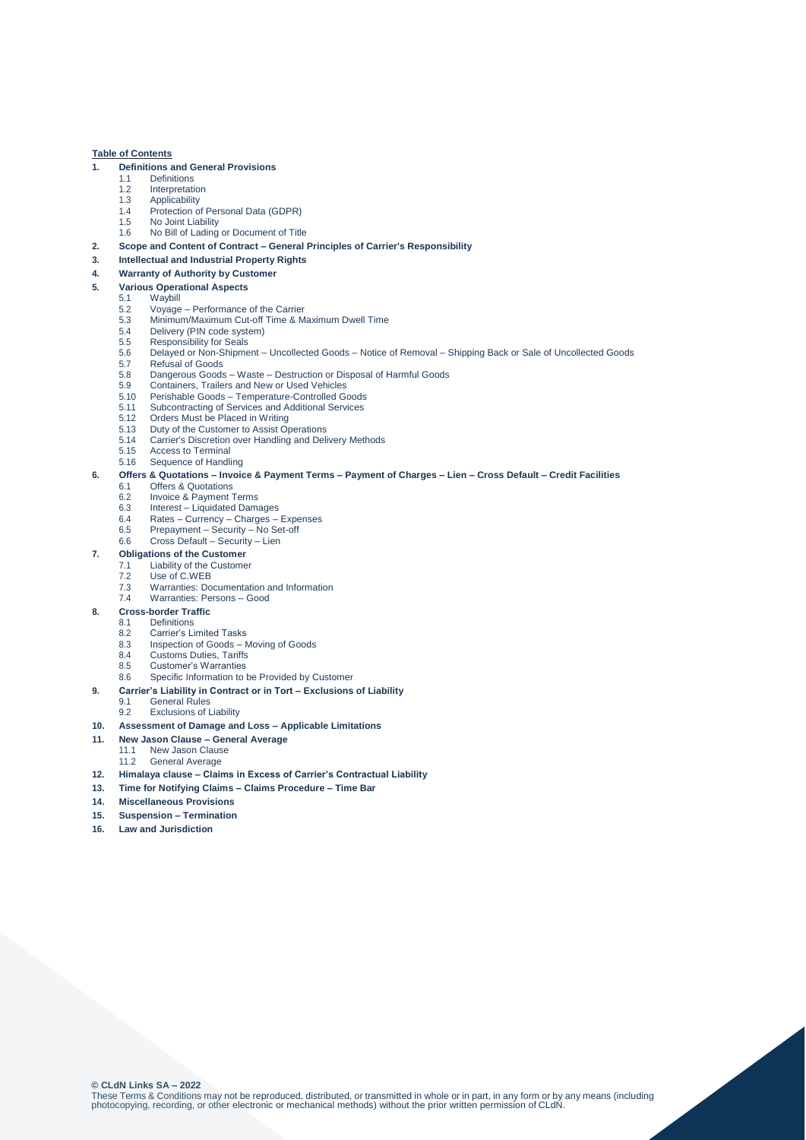# **Table of Contents**

# **1. Definitions and General Provisions**

- 1.1 Definitions<br>1.2 Interpretati
- 1.2 Interpretation<br>1.3 Applicability
- 1.3 Applicability 1.4 Protection of Personal Data (GDPR)
- 1.5 No Joint Liability
- 1.6 No Bill of Lading or Document of Title
- **2. Scope and Content of Contract – General Principles of Carrier's Responsibility**
- **3. Intellectual and Industrial Property Rights**
- **4. Warranty of Authority by Customer**
- **5. Various Operational Aspects**
- 5.1 Waybill
	- 5.2 Voyage Performance of the Carrier
	- 5.3 Minimum/Maximum Cut-off Time & Maximum Dwell Time<br>5.4 Delivery (PIN code system)
	- 5.4 Delivery (PIN code system)<br>5.5 Responsibility for Seals
	- 5.5 Responsibility for Seals<br>5.6 Delayed or Non-Shipme
	- 5.6 Delayed or Non-Shipment Uncollected Goods Notice of Removal Shipping Back or Sale of Uncollected Goods
	- 5.7 Refusal of Goods<br>5.8 Dangerous Goods
	- 5.8 Dangerous Goods Waste Destruction or Disposal of Harmful Goods
	- 5.9 Containers, Trailers and New or Used Vehicles 5.10 Perishable Goods – Temperature-Controlled Goods
	- 5.11 Subcontracting of Services and Additional Services
	-
	- 5.12 Orders Must be Placed in Writing<br>5.13 Duty of the Customer to Assist Op
	- 5.13 Duty of the Customer to Assist Operations<br>5.14 Carrier's Discretion over Handling and Del 5.14 Carrier's Discretion over Handling and Delivery Methods<br>5.15 Access to Terminal
	- Access to Terminal
	- 5.16 Sequence of Handling

# **6. Offers & Quotations – Invoice & Payment Terms – Payment of Charges – Lien – Cross Default – Credit Facilities**

- 6.1 Offers & Quotations<br>6.2 Invoice & Payment
- 6.2 Invoice & Payment Terms<br>6.3 Interest Liquidated Dam
- Interest Liquidated Damages
- 6.4 Rates Currency Charges Expenses
- 6.5 Prepayment Security No Set-off 6.6 Cross Default – Security – Lien
- 

# **7. Obligations of the Customer**<br>**7.1 Liability of the Customer**

- 7.1 Liability of the Customer<br>7.2 Use of C.WEB Use of C.WEB
- 7.3 Warranties: Documentation and Information
- 7.4 Warranties: Persons Good
- **8. Cross-border Traffic**
- 8.1 Definitions<br>8.2 Carrier's Li
	- 8.2 Carrier's Limited Tasks<br>8.3 Inspection of Goods N
	- Inspection of Goods Moving of Goods
	- 8.4 Customs Duties, Tariffs
	- 8.5 Customer's Warranties<br>8.6 Specific Information to
	- Specific Information to be Provided by Customer
- **9. Carrier's Liability in Contract or in Tort – Exclusions of Liability**
	- 9.1 General Rules<br>9.2 Exclusions of **Exclusions of Liability**
- **10. Assessment of Damage and Loss – Applicable Limitations**
- **11. New Jason Clause – General Average**
- 11.1 New Jason Clause
	- 11.2 General Average
- **12. Himalaya clause – Claims in Excess of Carrier's Contractual Liability**
- **13. Time for Notifying Claims – Claims Procedure – Time Bar**
- **14. Miscellaneous Provisions**
- **15. Suspension – Termination**
- **16. Law and Jurisdiction**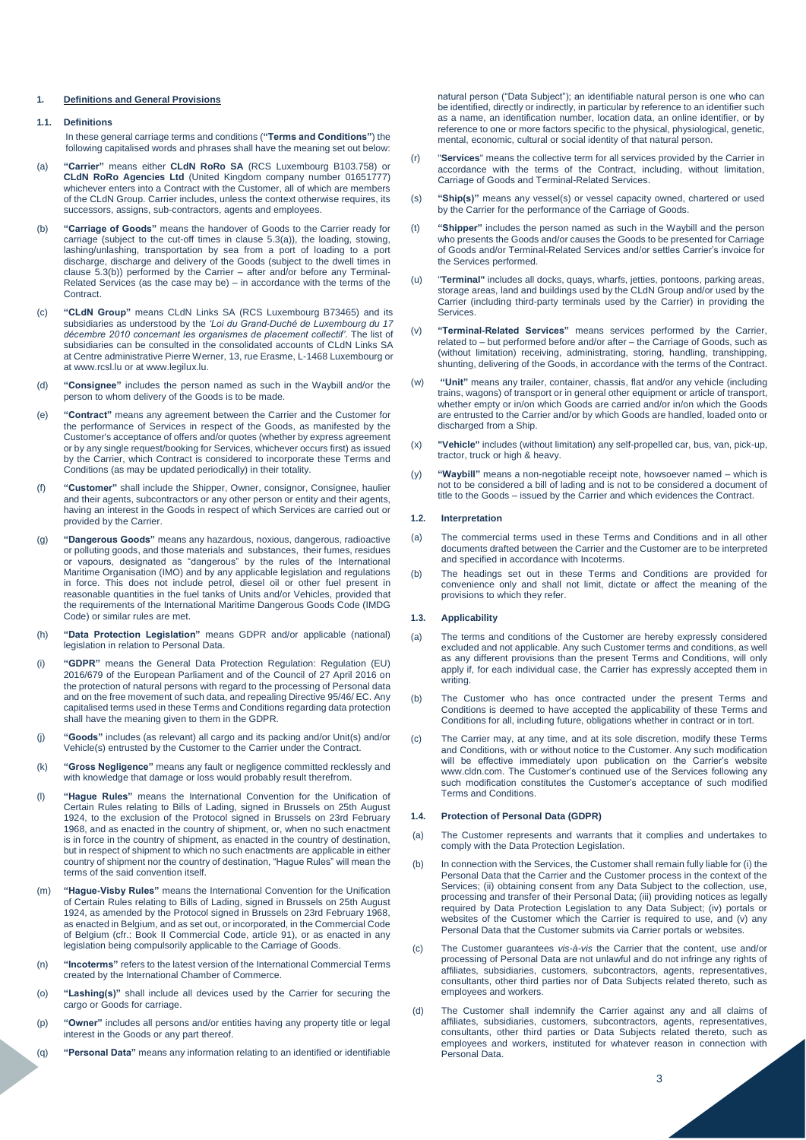# **1. Definitions and General Provisions**

# **1.1. Definitions**

In these general carriage terms and conditions (**"Terms and Conditions"**) the following capitalised words and phrases shall have the meaning set out below:

- (a) **"Carrier"** means either **CLdN RoRo SA** (RCS Luxembourg B103.758) or **CLdN RoRo Agencies Ltd** (United Kingdom company number 01651777) whichever enters into a Contract with the Customer, all of which are members of the CLdN Group. Carrier includes, unless the context otherwise requires, its successors, assigns, sub-contractors, agents and employees.
- (b) **"Carriage of Goods"** means the handover of Goods to the Carrier ready for carriage (subject to the cut-off times in clause 5.3(a)), the loading, stowing, lashing/unlashing, transportation by sea from a port of loading to a port discharge, discharge and delivery of the Goods (subject to the dwell times in clause 5.3(b)) performed by the Carrier – after and/or before any Terminal-Related Services (as the case may be) – in accordance with the terms of the **Contract.**
- (c) **"CLdN Group"** means CLdN Links SA (RCS Luxembourg B73465) and its subsidiaries as understood by the *'Loi du Grand-Duché de Luxembourg du 17 décembre 2010 concernant les organismes de placement collectif'*. The list of subsidiaries can be consulted in the consolidated accounts of CLdN Links SA at Centre administrative Pierre Werner, 13, rue Erasme, L-1468 Luxembourg or at [www.rcsl.lu o](http://www.rcsl.lu/)r a[t www.legilux.lu.](http://www.legilux.lu/)
- (d) **"Consignee"** includes the person named as such in the Waybill and/or the person to whom delivery of the Goods is to be made.
- (e) **"Contract"** means any agreement between the Carrier and the Customer for the performance of Services in respect of the Goods, as manifested by the Customer's acceptance of offers and/or quotes (whether by express agreement or by any single request/booking for Services, whichever occurs first) as issued by the Carrier, which Contract is considered to incorporate these Terms and Conditions (as may be updated periodically) in their totality.
- (f) **"Customer"** shall include the Shipper, Owner, consignor, Consignee, haulier and their agents, subcontractors or any other person or entity and their agents, having an interest in the Goods in respect of which Services are carried out or provided by the Carrier.
- (g) **"Dangerous Goods"** means any hazardous, noxious, dangerous, radioactive or polluting goods, and those materials and substances, their fumes, residues or vapours, designated as "dangerous" by the rules of the International Maritime Organisation (IMO) and by any applicable legislation and regulations in force. This does not include petrol, diesel oil or other fuel present in reasonable quantities in the fuel tanks of Units and/or Vehicles, provided that the requirements of the International Maritime Dangerous Goods Code (IMDG Code) or similar rules are met.
- (h) **"Data Protection Legislation"** means GDPR and/or applicable (national) legislation in relation to Personal Data.
- (i) **"GDPR"** means the General Data Protection Regulation: Regulation (EU) 2016/679 of the European Parliament and of the Council of 27 April 2016 on the protection of natural persons with regard to the processing of Personal data and on the free movement of such data, and repealing Directive 95/46/ EC. Any capitalised terms used in these Terms and Conditions regarding data protection shall have the meaning given to them in the GDPR.
- (j) **"Goods"** includes (as relevant) all cargo and its packing and/or Unit(s) and/or Vehicle(s) entrusted by the Customer to the Carrier under the Contract.
- (k) **"Gross Negligence"** means any fault or negligence committed recklessly and with knowledge that damage or loss would probably result therefrom.
- (l) **"Hague Rules"** means the International Convention for the Unification of Certain Rules relating to Bills of Lading, signed in Brussels on 25th August 1924, to the exclusion of the Protocol signed in Brussels on 23rd February 1968, and as enacted in the country of shipment, or, when no such enactment is in force in the country of shipment, as enacted in the country of destination, but in respect of shipment to which no such enactments are applicable in either country of shipment nor the country of destination, "Hague Rules" will mean the terms of the said convention itself.
- (m) **"Hague-Visby Rules"** means the International Convention for the Unification of Certain Rules relating to Bills of Lading, signed in Brussels on 25th August 1924, as amended by the Protocol signed in Brussels on 23rd February 1968, as enacted in Belgium, and as set out, or incorporated, in the Commercial Code of Belgium (cfr.: Book II Commercial Code, article 91), or as enacted in any legislation being compulsorily applicable to the Carriage of Goods.
- (n) **"Incoterms"** refers to the latest version of the International Commercial Terms created by the International Chamber of Commerce.
- (o) **"Lashing(s)"** shall include all devices used by the Carrier for securing the cargo or Goods for carriage.
- (p) **"Owner"** includes all persons and/or entities having any property title or legal interest in the Goods or any part thereof.
- (q) **"Personal Data"** means any information relating to an identified or identifiable

natural person ("Data Subject"); an identifiable natural person is one who can be identified, directly or indirectly, in particular by reference to an identifier such as a name, an identification number, location data, an online identifier, or by reference to one or more factors specific to the physical, physiological, genetic, mental, economic, cultural or social identity of that natural person.

- (r) "**Services**" means the collective term for all services provided by the Carrier in accordance with the terms of the Contract, including, without limitation, Carriage of Goods and Terminal-Related Services.
- (s) **"Ship(s)"** means any vessel(s) or vessel capacity owned, chartered or used by the Carrier for the performance of the Carriage of Goods.
- (t) **"Shipper"** includes the person named as such in the Waybill and the person who presents the Goods and/or causes the Goods to be presented for Carriage of Goods and/or Terminal-Related Services and/or settles Carrier's invoice for the Services performed.
- (u) "**Terminal"** includes all docks, quays, wharfs, jetties, pontoons, parking areas, storage areas, land and buildings used by the CLdN Group and/or used by the Carrier (including third-party terminals used by the Carrier) in providing the **Services**
- (v) **"Terminal-Related Services"** means services performed by the Carrier, related to – but performed before and/or after – the Carriage of Goods, such as (without limitation) receiving, administrating, storing, handling, transhipping, shunting, delivering of the Goods, in accordance with the terms of the Contract.
- (w) **"Unit"** means any trailer, container, chassis, flat and/or any vehicle (including trains, wagons) of transport or in general other equipment or article of transport, whether empty or in/on which Goods are carried and/or in/on which the Goods are entrusted to the Carrier and/or by which Goods are handled, loaded onto or discharged from a Ship.
- (x) **"Vehicle"** includes (without limitation) any self-propelled car, bus, van, pick-up, tractor, truck or high & heavy.
- (y) **"Waybill"** means a non-negotiable receipt note, howsoever named which is not to be considered a bill of lading and is not to be considered a document of title to the Goods – issued by the Carrier and which evidences the Contract.

### **1.2. Interpretation**

- (a) The commercial terms used in these Terms and Conditions and in all other documents drafted between the Carrier and the Customer are to be interpreted and specified in accordance with Incoterms.
- (b) The headings set out in these Terms and Conditions are provided for convenience only and shall not limit, dictate or affect the meaning of the provisions to which they refer.

### **1.3. Applicability**

- (a) The terms and conditions of the Customer are hereby expressly considered excluded and not applicable. Any such Customer terms and conditions, as well as any different provisions than the present Terms and Conditions, will only apply if, for each individual case, the Carrier has expressly accepted them in writing.
- (b) The Customer who has once contracted under the present Terms and Conditions is deemed to have accepted the applicability of these Terms and Conditions for all, including future, obligations whether in contract or in tort.
- (c) The Carrier may, at any time, and at its sole discretion, modify these Terms and Conditions, with or without notice to the Customer. Any such modification will be effective immediately upon publication on the Carrier's website www.cldn.com. The Customer's continued use of the Services following any such modification constitutes the Customer's acceptance of such modified Terms and Conditions.

## **1.4. Protection of Personal Data (GDPR)**

- (a) The Customer represents and warrants that it complies and undertakes to comply with the Data Protection Legislation.
- (b) In connection with the Services, the Customer shall remain fully liable for (i) the Personal Data that the Carrier and the Customer process in the context of the Services; (ii) obtaining consent from any Data Subject to the collection, use, processing and transfer of their Personal Data; (iii) providing notices as legally required by Data Protection Legislation to any Data Subject; (iv) portals or websites of the Customer which the Carrier is required to use, and (v) any Personal Data that the Customer submits via Carrier portals or websites.
- (c) The Customer guarantees *vis-à-vis* the Carrier that the content, use and/or processing of Personal Data are not unlawful and do not infringe any rights of affiliates, subsidiaries, customers, subcontractors, agents, representatives, consultants, other third parties nor of Data Subjects related thereto, such as employees and workers.
- (d) The Customer shall indemnify the Carrier against any and all claims of affiliates, subsidiaries, customers, subcontractors, agents, representatives, consultants, other third parties or Data Subjects related thereto, such as employees and workers, instituted for whatever reason in connection with Personal Data.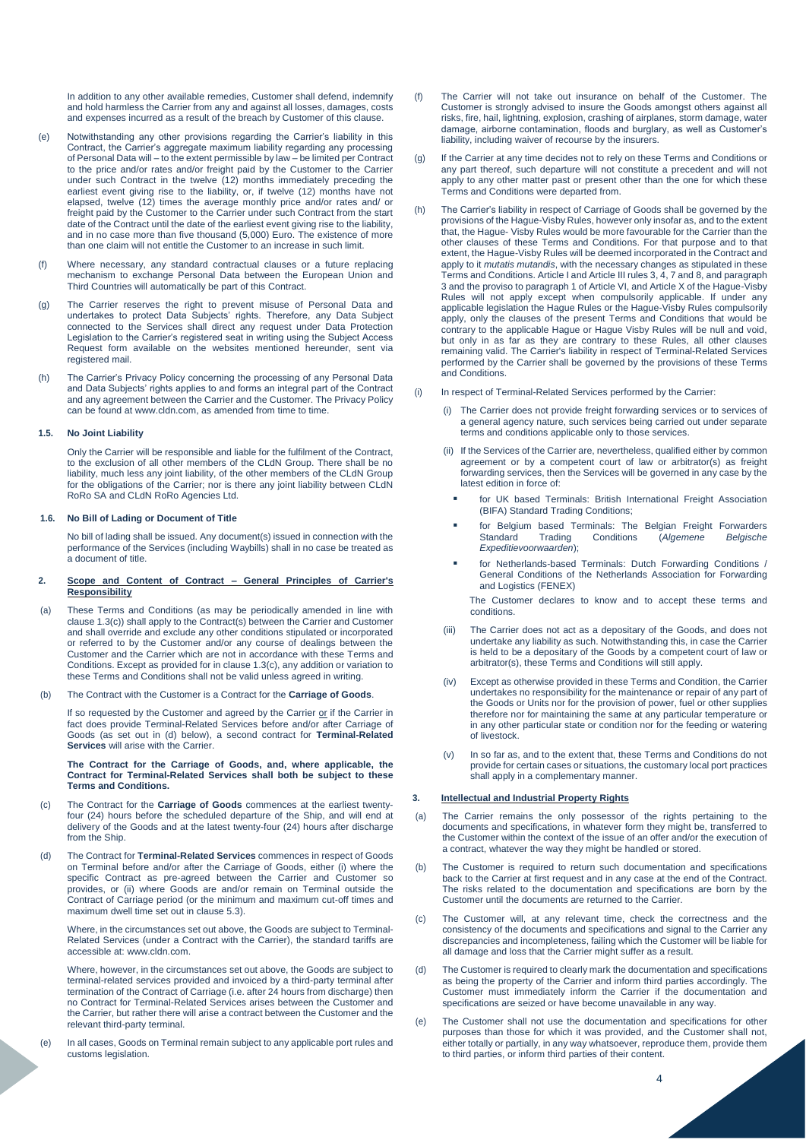In addition to any other available remedies, Customer shall defend, indemnify and hold harmless the Carrier from any and against all losses, damages, costs and expenses incurred as a result of the breach by Customer of this clause.

- (e) Notwithstanding any other provisions regarding the Carrier's liability in this Contract, the Carrier's aggregate maximum liability regarding any processing of Personal Data will – to the extent permissible by law – be limited per Contract to the price and/or rates and/or freight paid by the Customer to the Carrier under such Contract in the twelve (12) months immediately preceding the earliest event giving rise to the liability, or, if twelve (12) months have not elapsed, twelve (12) times the average monthly price and/or rates and/ or freight paid by the Customer to the Carrier under such Contract from the start date of the Contract until the date of the earliest event giving rise to the liability, and in no case more than five thousand (5,000) Euro. The existence of more than one claim will not entitle the Customer to an increase in such limit.
- (f) Where necessary, any standard contractual clauses or a future replacing mechanism to exchange Personal Data between the European Union and Third Countries will automatically be part of this Contract.
- (g) The Carrier reserves the right to prevent misuse of Personal Data and undertakes to protect Data Subjects' rights. Therefore, any Data Subject connected to the Services shall direct any request under Data Protection Legislation to the Carrier's registered seat in writing using the Subject Access Request form available on the websites mentioned hereunder, sent via registered mail.
- (h) The Carrier's Privacy Policy concerning the processing of any Personal Data and Data Subjects' rights applies to and forms an integral part of the Contract and any agreement between the Carrier and the Customer. The Privacy Policy can be found at www.cldn.com, as amended from time to time.

## **1.5. No Joint Liability**

Only the Carrier will be responsible and liable for the fulfilment of the Contract, to the exclusion of all other members of the CLdN Group. There shall be no liability, much less any joint liability, of the other members of the CLdN Group for the obligations of the Carrier; nor is there any joint liability between CLdN RoRo SA and CLdN RoRo Agencies Ltd.

## **1.6. No Bill of Lading or Document of Title**

No bill of lading shall be issued. Any document(s) issued in connection with the performance of the Services (including Waybills) shall in no case be treated as a document of title.

## **2. Scope and Content of Contract – General Principles of Carrier's Responsibility**

- (a) These Terms and Conditions (as may be periodically amended in line with clause 1.3(c)) shall apply to the Contract(s) between the Carrier and Customer and shall override and exclude any other conditions stipulated or incorporated or referred to by the Customer and/or any course of dealings between the Customer and the Carrier which are not in accordance with these Terms and Conditions. Except as provided for in clause 1.3(c), any addition or variation to these Terms and Conditions shall not be valid unless agreed in writing.
- (b) The Contract with the Customer is a Contract for the **Carriage of Goods**.

If so requested by the Customer and agreed by the Carrier or if the Carrier in fact does provide Terminal-Related Services before and/or after Carriage of Goods (as set out in (d) below), a second contract for **Terminal-Related Services** will arise with the Carrier.

### **The Contract for the Carriage of Goods, and, where applicable, the Contract for Terminal-Related Services shall both be subject to these Terms and Conditions.**

- (c) The Contract for the **Carriage of Goods** commences at the earliest twentyfour (24) hours before the scheduled departure of the Ship, and will end at delivery of the Goods and at the latest twenty-four (24) hours after discharge from the Ship.
- (d) The Contract for **Terminal-Related Services** commences in respect of Goods on Terminal before and/or after the Carriage of Goods, either (i) where the specific Contract as pre-agreed between the Carrier and Customer so provides, or (ii) where Goods are and/or remain on Terminal outside the Contract of Carriage period (or the minimum and maximum cut-off times and maximum dwell time set out in clause 5.3).

Where, in the circumstances set out above, the Goods are subject to Terminal-Related Services (under a Contract with the Carrier), the standard tariffs are accessible at: www.cldn.com.

Where, however, in the circumstances set out above, the Goods are subject to terminal-related services provided and invoiced by a third-party terminal after termination of the Contract of Carriage (i.e. after 24 hours from discharge) then no Contract for Terminal-Related Services arises between the Customer and the Carrier, but rather there will arise a contract between the Customer and the relevant third-party terminal.

(e) In all cases, Goods on Terminal remain subject to any applicable port rules and customs legislation.

- (f) The Carrier will not take out insurance on behalf of the Customer. The Customer is strongly advised to insure the Goods amongst others against all risks, fire, hail, lightning, explosion, crashing of airplanes, storm damage, water damage, airborne contamination, floods and burglary, as well as Customer's liability, including waiver of recourse by the insurers.
- (g) If the Carrier at any time decides not to rely on these Terms and Conditions or any part thereof, such departure will not constitute a precedent and will not apply to any other matter past or present other than the one for which these Terms and Conditions were departed from.
- (h) The Carrier's liability in respect of Carriage of Goods shall be governed by the provisions of the Hague-Visby Rules, however only insofar as, and to the extent that, the Hague- Visby Rules would be more favourable for the Carrier than the other clauses of these Terms and Conditions. For that purpose and to that extent, the Hague-Visby Rules will be deemed incorporated in the Contract and apply to it *mutatis mutandis*, with the necessary changes as stipulated in these Terms and Conditions. Article I and Article III rules 3, 4, 7 and 8, and paragraph 3 and the proviso to paragraph 1 of Article VI, and Article X of the Hague-Visby Rules will not apply except when compulsorily applicable. If under any applicable legislation the Hague Rules or the Hague-Visby Rules compulsorily apply, only the clauses of the present Terms and Conditions that would be contrary to the applicable Hague or Hague Visby Rules will be null and void, but only in as far as they are contrary to these Rules, all other clauses remaining valid. The Carrier's liability in respect of Terminal-Related Services performed by the Carrier shall be governed by the provisions of these Terms and Conditions.
- (i) In respect of Terminal-Related Services performed by the Carrier:
	- (i) The Carrier does not provide freight forwarding services or to services of a general agency nature, such services being carried out under separate terms and conditions applicable only to those services.
	- (ii) If the Services of the Carrier are, nevertheless, qualified either by common agreement or by a competent court of law or arbitrator(s) as freight forwarding services, then the Services will be governed in any case by the latest edition in force of:
		- for UK based Terminals: British International Freight Association (BIFA) Standard Trading Conditions;
		- for Belgium based Terminals: The Belgian Freight Forwarders<br>Standard Trading Conditions (Algemene Belgische Standard Trading Conditions (*Algemene Belgische Expeditievoorwaarden*);
		- for Netherlands-based Terminals: Dutch Forwarding Conditions / General Conditions of the Netherlands Association for Forwarding and Logistics (FENEX)

The Customer declares to know and to accept these terms and conditions.

- (iii) The Carrier does not act as a depositary of the Goods, and does not undertake any liability as such. Notwithstanding this, in case the Carrier is held to be a depositary of the Goods by a competent court of law or arbitrator(s), these Terms and Conditions will still apply.
- (iv) Except as otherwise provided in these Terms and Condition, the Carrier undertakes no responsibility for the maintenance or repair of any part of the Goods or Units nor for the provision of power, fuel or other supplies therefore nor for maintaining the same at any particular temperature or in any other particular state or condition nor for the feeding or watering of livestock.
- (v) In so far as, and to the extent that, these Terms and Conditions do not provide for certain cases or situations, the customary local port practices shall apply in a complementary manner.

# **3. Intellectual and Industrial Property Rights**

- (a) The Carrier remains the only possessor of the rights pertaining to the documents and specifications, in whatever form they might be, transferred to the Customer within the context of the issue of an offer and/or the execution of a contract, whatever the way they might be handled or stored.
- (b) The Customer is required to return such documentation and specifications back to the Carrier at first request and in any case at the end of the Contract. The risks related to the documentation and specifications are born by the Customer until the documents are returned to the Carrier.
- The Customer will, at any relevant time, check the correctness and the consistency of the documents and specifications and signal to the Carrier any discrepancies and incompleteness, failing which the Customer will be liable for all damage and loss that the Carrier might suffer as a result.
- (d) The Customer is required to clearly mark the documentation and specifications as being the property of the Carrier and inform third parties accordingly. The Customer must immediately inform the Carrier if the documentation and specifications are seized or have become unavailable in any way.
- (e) The Customer shall not use the documentation and specifications for other purposes than those for which it was provided, and the Customer shall not, either totally or partially, in any way whatsoever, reproduce them, provide them to third parties, or inform third parties of their content.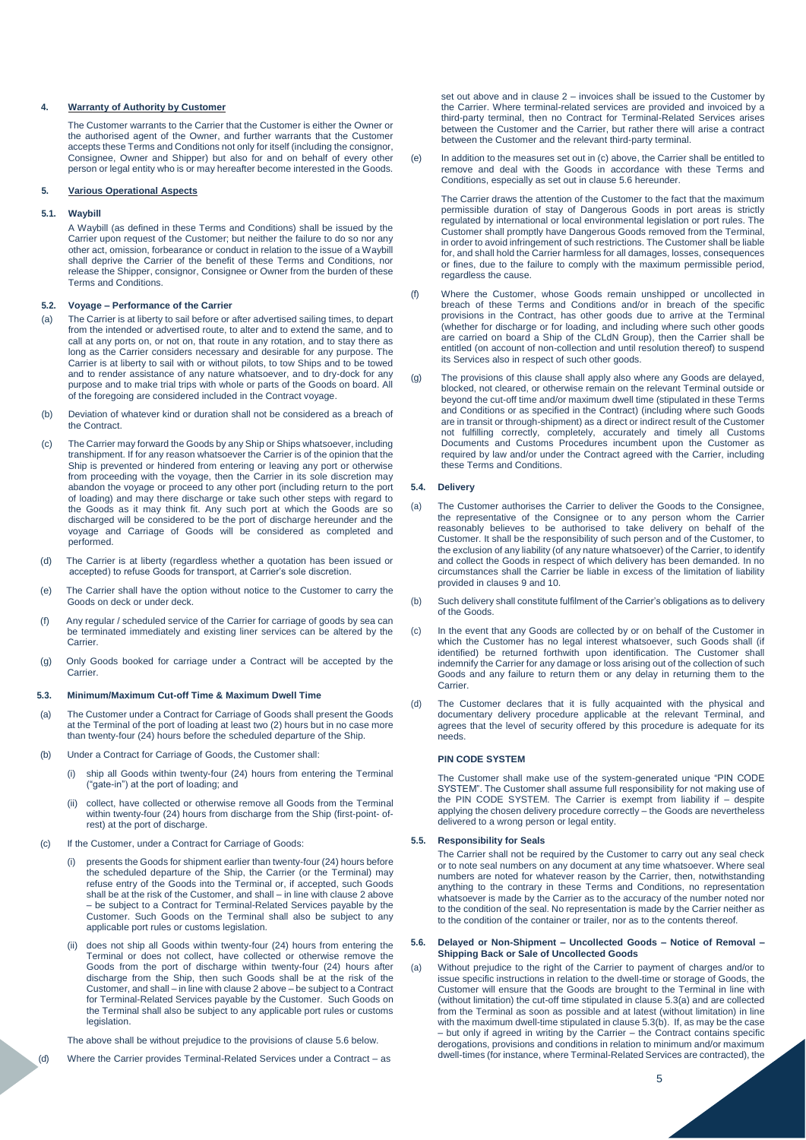## **4. Warranty of Authority by Customer**

The Customer warrants to the Carrier that the Customer is either the Owner or the authorised agent of the Owner, and further warrants that the Customer accepts these Terms and Conditions not only for itself (including the consignor, Consignee, Owner and Shipper) but also for and on behalf of every other person or legal entity who is or may hereafter become interested in the Goods.

# **5. Various Operational Aspects**

# **5.1. Waybill**

A Waybill (as defined in these Terms and Conditions) shall be issued by the Carrier upon request of the Customer; but neither the failure to do so nor any other act, omission, forbearance or conduct in relation to the issue of a Waybill shall deprive the Carrier of the benefit of these Terms and Conditions, nor release the Shipper, consignor, Consignee or Owner from the burden of these Terms and Conditions.

## **5.2. Voyage – Performance of the Carrier**

- (a) The Carrier is at liberty to sail before or after advertised sailing times, to depart from the intended or advertised route, to alter and to extend the same, and to call at any ports on, or not on, that route in any rotation, and to stay there as long as the Carrier considers necessary and desirable for any purpose. The Carrier is at liberty to sail with or without pilots, to tow Ships and to be towed and to render assistance of any nature whatsoever, and to dry-dock for any purpose and to make trial trips with whole or parts of the Goods on board. All of the foregoing are considered included in the Contract voyage.
- (b) Deviation of whatever kind or duration shall not be considered as a breach of the Contract.
- (c) The Carrier may forward the Goods by any Ship or Ships whatsoever, including transhipment. If for any reason whatsoever the Carrier is of the opinion that the Ship is prevented or hindered from entering or leaving any port or otherwise from proceeding with the voyage, then the Carrier in its sole discretion may abandon the voyage or proceed to any other port (including return to the port of loading) and may there discharge or take such other steps with regard to the Goods as it may think fit. Any such port at which the Goods are so discharged will be considered to be the port of discharge hereunder and the voyage and Carriage of Goods will be considered as completed and performed.
- (d) The Carrier is at liberty (regardless whether a quotation has been issued or accepted) to refuse Goods for transport, at Carrier's sole discretion.
- (e) The Carrier shall have the option without notice to the Customer to carry the Goods on deck or under deck.
- (f) Any regular / scheduled service of the Carrier for carriage of goods by sea can be terminated immediately and existing liner services can be altered by the Carrier.
- (g) Only Goods booked for carriage under a Contract will be accepted by the Carrier.

## **5.3. Minimum/Maximum Cut-off Time & Maximum Dwell Time**

- (a) The Customer under a Contract for Carriage of Goods shall present the Goods at the Terminal of the port of loading at least two (2) hours but in no case more than twenty-four (24) hours before the scheduled departure of the Ship.
- (b) Under a Contract for Carriage of Goods, the Customer shall:
	- (i) ship all Goods within twenty-four (24) hours from entering the Terminal ("gate-in") at the port of loading; and
	- (ii) collect, have collected or otherwise remove all Goods from the Terminal within twenty-four (24) hours from discharge from the Ship (first-point- ofrest) at the port of discharge.
- (c) If the Customer, under a Contract for Carriage of Goods:
	- presents the Goods for shipment earlier than twenty-four (24) hours before the scheduled departure of the Ship, the Carrier (or the Terminal) may refuse entry of the Goods into the Terminal or, if accepted, such Goods shall be at the risk of the Customer, and shall – in line with clause 2 above – be subject to a Contract for Terminal-Related Services payable by the Customer. Such Goods on the Terminal shall also be subject to any applicable port rules or customs legislation.
	- (ii) does not ship all Goods within twenty-four (24) hours from entering the Terminal or does not collect, have collected or otherwise remove the Goods from the port of discharge within twenty-four (24) hours after discharge from the Ship, then such Goods shall be at the risk of the Customer, and shall – in line with clause 2 above – be subject to a Contract for Terminal-Related Services payable by the Customer. Such Goods on the Terminal shall also be subject to any applicable port rules or customs legislation.
	- The above shall be without prejudice to the provisions of clause 5.6 below.
- (d) Where the Carrier provides Terminal-Related Services under a Contract as

set out above and in clause 2 – invoices shall be issued to the Customer by the Carrier. Where terminal-related services are provided and invoiced by a third-party terminal, then no Contract for Terminal-Related Services arises between the Customer and the Carrier, but rather there will arise a contract between the Customer and the relevant third-party terminal.

(e) In addition to the measures set out in (c) above, the Carrier shall be entitled to remove and deal with the Goods in accordance with these Terms and Conditions, especially as set out in clause 5.6 hereunder.

The Carrier draws the attention of the Customer to the fact that the maximum permissible duration of stay of Dangerous Goods in port areas is strictly regulated by international or local environmental legislation or port rules. The Customer shall promptly have Dangerous Goods removed from the Terminal, in order to avoid infringement of such restrictions. The Customer shall be liable for, and shall hold the Carrier harmless for all damages, losses, consequences or fines, due to the failure to comply with the maximum permissible period, regardless the cause.

- (f) Where the Customer, whose Goods remain unshipped or uncollected in breach of these Terms and Conditions and/or in breach of the specific provisions in the Contract, has other goods due to arrive at the Terminal (whether for discharge or for loading, and including where such other goods are carried on board a Ship of the CLdN Group), then the Carrier shall be entitled (on account of non-collection and until resolution thereof) to suspend its Services also in respect of such other goods.
- (g) The provisions of this clause shall apply also where any Goods are delayed, blocked, not cleared, or otherwise remain on the relevant Terminal outside or beyond the cut-off time and/or maximum dwell time (stipulated in these Terms and Conditions or as specified in the Contract) (including where such Goods are in transit or through-shipment) as a direct or indirect result of the Customer not fulfilling correctly, completely, accurately and timely all Customs Documents and Customs Procedures incumbent upon the Customer as required by law and/or under the Contract agreed with the Carrier, including these Terms and Conditions.

## **5.4. Delivery**

- (a) The Customer authorises the Carrier to deliver the Goods to the Consignee, the representative of the Consignee or to any person whom the Carrier reasonably believes to be authorised to take delivery on behalf of the Customer. It shall be the responsibility of such person and of the Customer, to the exclusion of any liability (of any nature whatsoever) of the Carrier, to identify and collect the Goods in respect of which delivery has been demanded. In no circumstances shall the Carrier be liable in excess of the limitation of liability provided in clauses 9 and 10.
- (b) Such delivery shall constitute fulfilment of the Carrier's obligations as to delivery of the Goods.
- (c) In the event that any Goods are collected by or on behalf of the Customer in which the Customer has no legal interest whatsoever, such Goods shall (if identified) be returned forthwith upon identification. The Customer shall indemnify the Carrier for any damage or loss arising out of the collection of such Goods and any failure to return them or any delay in returning them to the Carrier.
- (d) The Customer declares that it is fully acquainted with the physical and documentary delivery procedure applicable at the relevant Terminal, and agrees that the level of security offered by this procedure is adequate for its needs.

#### **PIN CODE SYSTEM**

The Customer shall make use of the system-generated unique "PIN CODE SYSTEM". The Customer shall assume full responsibility for not making use of the PIN CODE SYSTEM. The Carrier is exempt from liability if – despite applying the chosen delivery procedure correctly – the Goods are nevertheless delivered to a wrong person or legal entity.

# **5.5. Responsibility for Seals**

The Carrier shall not be required by the Customer to carry out any seal check or to note seal numbers on any document at any time whatsoever. Where seal numbers are noted for whatever reason by the Carrier, then, notwithstanding anything to the contrary in these Terms and Conditions, no representation whatsoever is made by the Carrier as to the accuracy of the number noted nor to the condition of the seal. No representation is made by the Carrier neither as to the condition of the container or trailer, nor as to the contents thereof.

# **5.6. Delayed or Non-Shipment – Uncollected Goods – Notice of Removal – Shipping Back or Sale of Uncollected Goods**

(a) Without prejudice to the right of the Carrier to payment of charges and/or to issue specific instructions in relation to the dwell-time or storage of Goods, the Customer will ensure that the Goods are brought to the Terminal in line with (without limitation) the cut-off time stipulated in clause 5.3(a) and are collected from the Terminal as soon as possible and at latest (without limitation) in line with the maximum dwell-time stipulated in clause 5.3(b). If, as may be the case – but only if agreed in writing by the Carrier – the Contract contains specific derogations, provisions and conditions in relation to minimum and/or maximum dwell-times (for instance, where Terminal-Related Services are contracted), the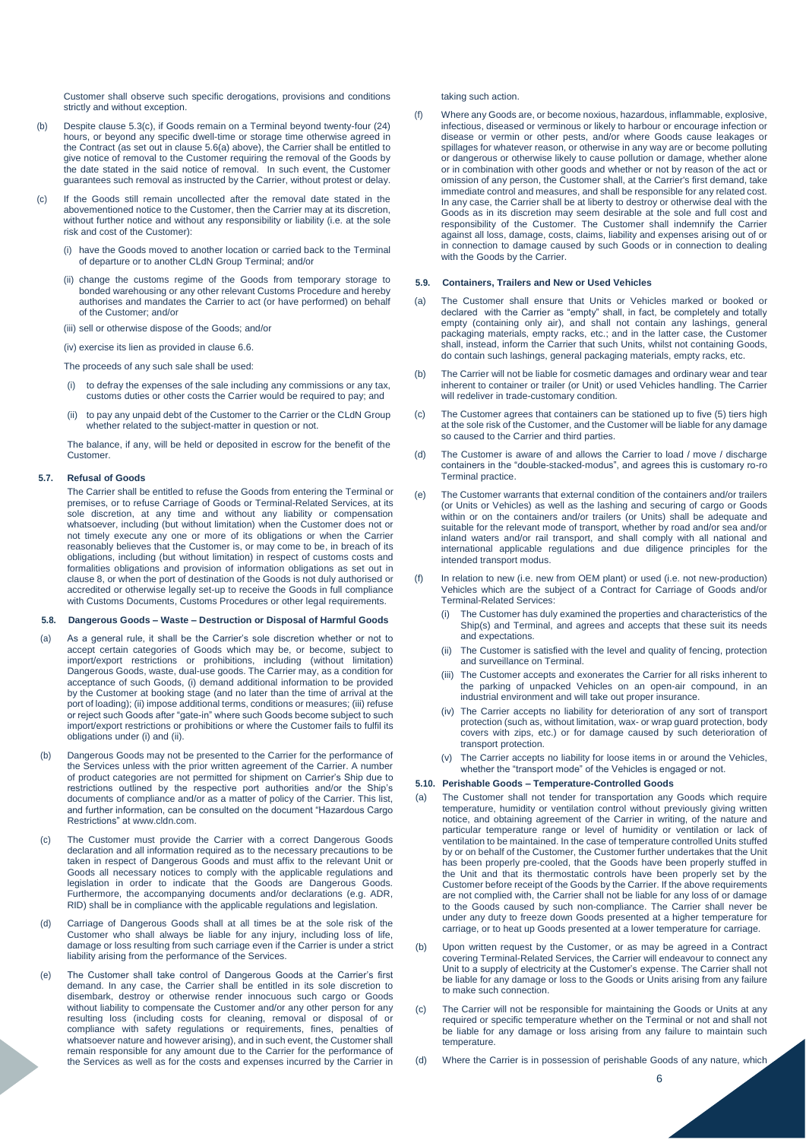Customer shall observe such specific derogations, provisions and conditions strictly and without exception.

- (b) Despite clause 5.3(c), if Goods remain on a Terminal beyond twenty-four (24) hours, or beyond any specific dwell-time or storage time otherwise agreed in the Contract (as set out in clause 5.6(a) above), the Carrier shall be entitled to give notice of removal to the Customer requiring the removal of the Goods by the date stated in the said notice of removal. In such event, the Customer guarantees such removal as instructed by the Carrier, without protest or delay.
- (c) If the Goods still remain uncollected after the removal date stated in the abovementioned notice to the Customer, then the Carrier may at its discretion, without further notice and without any responsibility or liability (i.e. at the sole risk and cost of the Customer):
	- have the Goods moved to another location or carried back to the Terminal of departure or to another CLdN Group Terminal; and/or
	- (ii) change the customs regime of the Goods from temporary storage to bonded warehousing or any other relevant Customs Procedure and hereby authorises and mandates the Carrier to act (or have performed) on behalf of the Customer; and/or
	- (iii) sell or otherwise dispose of the Goods; and/or

(iv) exercise its lien as provided in clause 6.6.

The proceeds of any such sale shall be used:

- to defray the expenses of the sale including any commissions or any tax, customs duties or other costs the Carrier would be required to pay; and
- (ii) to pay any unpaid debt of the Customer to the Carrier or the CLdN Group whether related to the subject-matter in question or not.

The balance, if any, will be held or deposited in escrow for the benefit of the **Customer** 

## **5.7. Refusal of Goods**

The Carrier shall be entitled to refuse the Goods from entering the Terminal or premises, or to refuse Carriage of Goods or Terminal-Related Services, at its sole discretion, at any time and without any liability or compensation whatsoever, including (but without limitation) when the Customer does not or not timely execute any one or more of its obligations or when the Carrier reasonably believes that the Customer is, or may come to be, in breach of its obligations, including (but without limitation) in respect of customs costs and formalities obligations and provision of information obligations as set out in clause 8, or when the port of destination of the Goods is not duly authorised or accredited or otherwise legally set-up to receive the Goods in full compliance with Customs Documents, Customs Procedures or other legal requirements.

## **5.8. Dangerous Goods – Waste – Destruction or Disposal of Harmful Goods**

- (a) As a general rule, it shall be the Carrier's sole discretion whether or not to accept certain categories of Goods which may be, or become, subject to import/export restrictions or prohibitions, including (without limitation) Dangerous Goods, waste, dual-use goods. The Carrier may, as a condition for acceptance of such Goods, (i) demand additional information to be provided by the Customer at booking stage (and no later than the time of arrival at the port of loading); (ii) impose additional terms, conditions or measures; (iii) refuse or reject such Goods after "gate-in" where such Goods become subject to such import/export restrictions or prohibitions or where the Customer fails to fulfil its obligations under (i) and (ii).
- (b) Dangerous Goods may not be presented to the Carrier for the performance of the Services unless with the prior written agreement of the Carrier. A number of product categories are not permitted for shipment on Carrier's Ship due to restrictions outlined by the respective port authorities and/or the Ship's documents of compliance and/or as a matter of policy of the Carrier. This list, and further information, can be consulted on the document "Hazardous Cargo Restrictions" at www.cldn.com.
- (c) The Customer must provide the Carrier with a correct Dangerous Goods declaration and all information required as to the necessary precautions to be taken in respect of Dangerous Goods and must affix to the relevant Unit or Goods all necessary notices to comply with the applicable regulations and legislation in order to indicate that the Goods are Dangerous Goods. Furthermore, the accompanying documents and/or declarations (e.g. ADR, RID) shall be in compliance with the applicable regulations and legislation.
- (d) Carriage of Dangerous Goods shall at all times be at the sole risk of the Customer who shall always be liable for any injury, including loss of life, damage or loss resulting from such carriage even if the Carrier is under a strict liability arising from the performance of the Services.
- (e) The Customer shall take control of Dangerous Goods at the Carrier's first demand. In any case, the Carrier shall be entitled in its sole discretion to disembark, destroy or otherwise render innocuous such cargo or Goods without liability to compensate the Customer and/or any other person for any resulting loss (including costs for cleaning, removal or disposal of or compliance with safety regulations or requirements, fines, penalties of whatsoever nature and however arising), and in such event, the Customer shall remain responsible for any amount due to the Carrier for the performance of the Services as well as for the costs and expenses incurred by the Carrier in

taking such action.

(f) Where any Goods are, or become noxious, hazardous, inflammable, explosive, infectious, diseased or verminous or likely to harbour or encourage infection or disease or vermin or other pests, and/or where Goods cause leakages or spillages for whatever reason, or otherwise in any way are or become polluting or dangerous or otherwise likely to cause pollution or damage, whether alone or in combination with other goods and whether or not by reason of the act or omission of any person, the Customer shall, at the Carrier's first demand, take immediate control and measures, and shall be responsible for any related cost. In any case, the Carrier shall be at liberty to destroy or otherwise deal with the Goods as in its discretion may seem desirable at the sole and full cost and responsibility of the Customer. The Customer shall indemnify the Carrier against all loss, damage, costs, claims, liability and expenses arising out of or in connection to damage caused by such Goods or in connection to dealing with the Goods by the Carrier.

#### **5.9. Containers, Trailers and New or Used Vehicles**

- (a) The Customer shall ensure that Units or Vehicles marked or booked or declared with the Carrier as "empty" shall, in fact, be completely and totally empty (containing only air), and shall not contain any lashings, general packaging materials, empty racks, etc.; and in the latter case, the Customer shall, instead, inform the Carrier that such Units, whilst not containing Goods, do contain such lashings, general packaging materials, empty racks, etc.
- (b) The Carrier will not be liable for cosmetic damages and ordinary wear and tear inherent to container or trailer (or Unit) or used Vehicles handling. The Carrier will redeliver in trade-customary condition.
- (c) The Customer agrees that containers can be stationed up to five (5) tiers high at the sole risk of the Customer, and the Customer will be liable for any damage so caused to the Carrier and third parties.
- (d) The Customer is aware of and allows the Carrier to load / move / discharge containers in the "double-stacked-modus", and agrees this is customary ro-ro Terminal practice.
- (e) The Customer warrants that external condition of the containers and/or trailers (or Units or Vehicles) as well as the lashing and securing of cargo or Goods within or on the containers and/or trailers (or Units) shall be adequate and suitable for the relevant mode of transport, whether by road and/or sea and/or inland waters and/or rail transport, and shall comply with all national and international applicable regulations and due diligence principles for the intended transport modus.
- (f) In relation to new (i.e. new from OEM plant) or used (i.e. not new-production) Vehicles which are the subject of a Contract for Carriage of Goods and/or Terminal-Related Services:
	- The Customer has duly examined the properties and characteristics of the Ship(s) and Terminal, and agrees and accepts that these suit its needs and expectations.
	- The Customer is satisfied with the level and quality of fencing, protection and surveillance on Terminal.
	- (iii) The Customer accepts and exonerates the Carrier for all risks inherent to the parking of unpacked Vehicles on an open-air compound, in an industrial environment and will take out proper insurance.
	- (iv) The Carrier accepts no liability for deterioration of any sort of transport protection (such as, without limitation, wax- or wrap guard protection, body covers with zips, etc.) or for damage caused by such deterioration of transport protection.
	- (v) The Carrier accepts no liability for loose items in or around the Vehicles, whether the "transport mode" of the Vehicles is engaged or not.

# **5.10. Perishable Goods – Temperature-Controlled Goods**

- The Customer shall not tender for transportation any Goods which require temperature, humidity or ventilation control without previously giving written notice, and obtaining agreement of the Carrier in writing, of the nature and particular temperature range or level of humidity or ventilation or lack of ventilation to be maintained. In the case of temperature controlled Units stuffed by or on behalf of the Customer, the Customer further undertakes that the Unit has been properly pre-cooled, that the Goods have been properly stuffed in the Unit and that its thermostatic controls have been properly set by the Customer before receipt of the Goods by the Carrier. If the above requirements are not complied with, the Carrier shall not be liable for any loss of or damage to the Goods caused by such non-compliance. The Carrier shall never be under any duty to freeze down Goods presented at a higher temperature for carriage, or to heat up Goods presented at a lower temperature for carriage.
- (b) Upon written request by the Customer, or as may be agreed in a Contract covering Terminal-Related Services, the Carrier will endeavour to connect any Unit to a supply of electricity at the Customer's expense. The Carrier shall not be liable for any damage or loss to the Goods or Units arising from any failure to make such connection.
- The Carrier will not be responsible for maintaining the Goods or Units at any required or specific temperature whether on the Terminal or not and shall not be liable for any damage or loss arising from any failure to maintain such temperature.
- (d) Where the Carrier is in possession of perishable Goods of any nature, which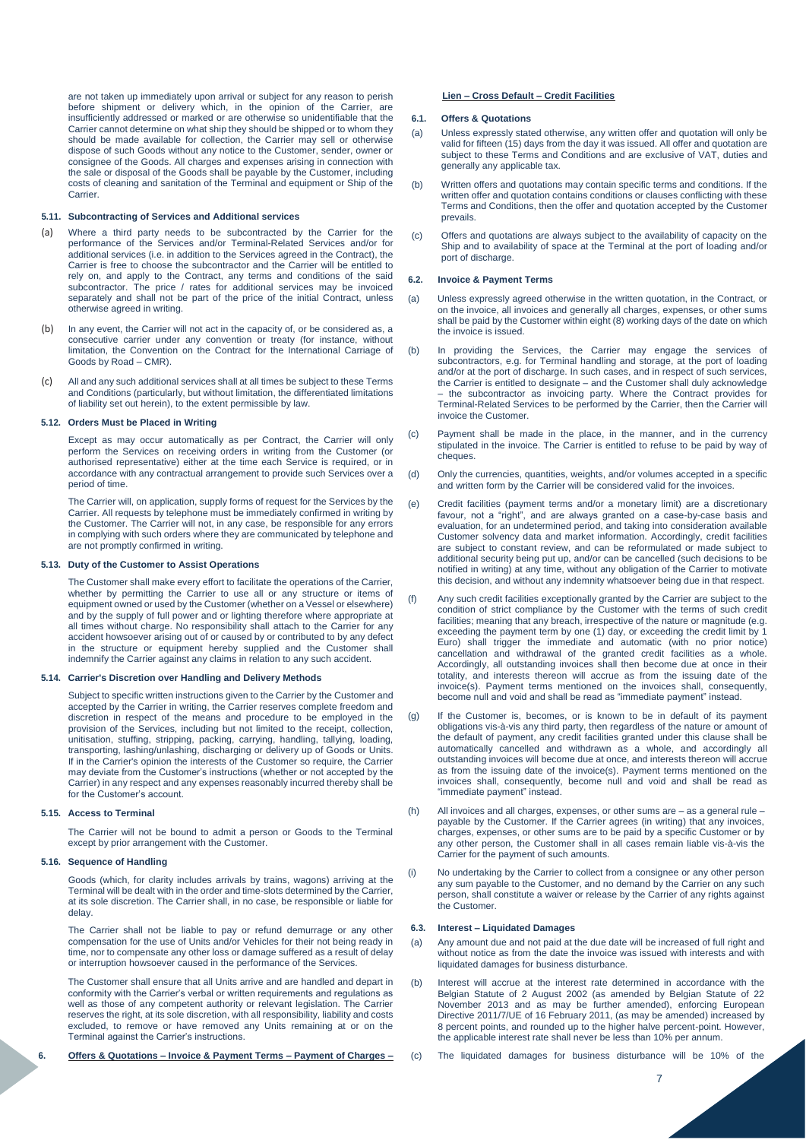are not taken up immediately upon arrival or subject for any reason to perish before shipment or delivery which, in the opinion of the Carrier, are insufficiently addressed or marked or are otherwise so unidentifiable that the Carrier cannot determine on what ship they should be shipped or to whom they should be made available for collection, the Carrier may sell or otherwise dispose of such Goods without any notice to the Customer, sender, owner or consignee of the Goods. All charges and expenses arising in connection with the sale or disposal of the Goods shall be payable by the Customer, including costs of cleaning and sanitation of the Terminal and equipment or Ship of the **Carrier** 

# **5.11. Subcontracting of Services and Additional services**

- Where a third party needs to be subcontracted by the Carrier for the performance of the Services and/or Terminal-Related Services and/or for additional services (i.e. in addition to the Services agreed in the Contract), the Carrier is free to choose the subcontractor and the Carrier will be entitled to rely on, and apply to the Contract, any terms and conditions of the said subcontractor. The price / rates for additional services may be invoiced separately and shall not be part of the price of the initial Contract, unless otherwise agreed in writing.
- (b) In any event, the Carrier will not act in the capacity of, or be considered as, a consecutive carrier under any convention or treaty (for instance, without limitation, the Convention on the Contract for the International Carriage of Goods by Road – CMR).
- (c) All and any such additional services shall at all times be subject to these Terms and Conditions (particularly, but without limitation, the differentiated limitations of liability set out herein), to the extent permissible by law.

# **5.12. Orders Must be Placed in Writing**

Except as may occur automatically as per Contract, the Carrier will only perform the Services on receiving orders in writing from the Customer (or authorised representative) either at the time each Service is required, or in accordance with any contractual arrangement to provide such Services over a period of time.

The Carrier will, on application, supply forms of request for the Services by the Carrier. All requests by telephone must be immediately confirmed in writing by the Customer. The Carrier will not, in any case, be responsible for any errors in complying with such orders where they are communicated by telephone and are not promptly confirmed in writing.

# **5.13. Duty of the Customer to Assist Operations**

The Customer shall make every effort to facilitate the operations of the Carrier, whether by permitting the Carrier to use all or any structure or items of equipment owned or used by the Customer (whether on a Vessel or elsewhere) and by the supply of full power and or lighting therefore where appropriate at all times without charge. No responsibility shall attach to the Carrier for any accident howsoever arising out of or caused by or contributed to by any defect in the structure or equipment hereby supplied and the Customer shall indemnify the Carrier against any claims in relation to any such accident.

# **5.14. Carrier's Discretion over Handling and Delivery Methods**

Subject to specific written instructions given to the Carrier by the Customer and accepted by the Carrier in writing, the Carrier reserves complete freedom and discretion in respect of the means and procedure to be employed in the provision of the Services, including but not limited to the receipt, collection, unitisation, stuffing, stripping, packing, carrying, handling, tallying, loading, transporting, lashing/unlashing, discharging or delivery up of Goods or Units. If in the Carrier's opinion the interests of the Customer so require, the Carrier may deviate from the Customer's instructions (whether or not accepted by the Carrier) in any respect and any expenses reasonably incurred thereby shall be for the Customer's account.

### **5.15. Access to Terminal**

The Carrier will not be bound to admit a person or Goods to the Terminal except by prior arrangement with the Customer.

## **5.16. Sequence of Handling**

Goods (which, for clarity includes arrivals by trains, wagons) arriving at the Terminal will be dealt with in the order and time-slots determined by the Carrier, at its sole discretion. The Carrier shall, in no case, be responsible or liable for delay.

The Carrier shall not be liable to pay or refund demurrage or any other compensation for the use of Units and/or Vehicles for their not being ready in time, nor to compensate any other loss or damage suffered as a result of delay or interruption howsoever caused in the performance of the Services.

The Customer shall ensure that all Units arrive and are handled and depart in conformity with the Carrier's verbal or written requirements and regulations as well as those of any competent authority or relevant legislation. The Carrier reserves the right, at its sole discretion, with all responsibility, liability and costs excluded, to remove or have removed any Units remaining at or on the Terminal against the Carrier's instructions.

**6. Offers & Quotations – Invoice & Payment Terms – Payment of Charges –**

# **Lien – Cross Default – Credit Facilities**

# **6.1. Offers & Quotations**

- (a) Unless expressly stated otherwise, any written offer and quotation will only be valid for fifteen (15) days from the day it was issued. All offer and quotation are subject to these Terms and Conditions and are exclusive of VAT, duties and generally any applicable tax.
- (b) Written offers and quotations may contain specific terms and conditions. If the written offer and quotation contains conditions or clauses conflicting with these Terms and Conditions, then the offer and quotation accepted by the Customer prevails.
- (c) Offers and quotations are always subject to the availability of capacity on the Ship and to availability of space at the Terminal at the port of loading and/or port of discharge.

## **6.2. Invoice & Payment Terms**

- (a) Unless expressly agreed otherwise in the written quotation, in the Contract, or on the invoice, all invoices and generally all charges, expenses, or other sums shall be paid by the Customer within eight (8) working days of the date on which the invoice is issued.
- (b) In providing the Services, the Carrier may engage the services of subcontractors, e.g. for Terminal handling and storage, at the port of loading and/or at the port of discharge. In such cases, and in respect of such services, the Carrier is entitled to designate – and the Customer shall duly acknowledge – the subcontractor as invoicing party. Where the Contract provides for Terminal-Related Services to be performed by the Carrier, then the Carrier will invoice the Customer.
- (c) Payment shall be made in the place, in the manner, and in the currency stipulated in the invoice. The Carrier is entitled to refuse to be paid by way of cheques.
- (d) Only the currencies, quantities, weights, and/or volumes accepted in a specific and written form by the Carrier will be considered valid for the invoices
- (e) Credit facilities (payment terms and/or a monetary limit) are a discretionary favour, not a "right", and are always granted on a case-by-case basis and evaluation, for an undetermined period, and taking into consideration available Customer solvency data and market information. Accordingly, credit facilities are subject to constant review, and can be reformulated or made subject to additional security being put up, and/or can be cancelled (such decisions to be notified in writing) at any time, without any obligation of the Carrier to motivate this decision, and without any indemnity whatsoever being due in that respect.
- (f) Any such credit facilities exceptionally granted by the Carrier are subject to the condition of strict compliance by the Customer with the terms of such credit facilities; meaning that any breach, irrespective of the nature or magnitude (e.g. exceeding the payment term by one (1) day, or exceeding the credit limit by 1 Euro) shall trigger the immediate and automatic (with no prior notice) cancellation and withdrawal of the granted credit facilities as a whole. Accordingly, all outstanding invoices shall then become due at once in their totality, and interests thereon will accrue as from the issuing date of the invoice(s). Payment terms mentioned on the invoices shall, consequently, become null and void and shall be read as "immediate payment" instead.
- (g) If the Customer is, becomes, or is known to be in default of its payment obligations vis-à-vis any third party, then regardless of the nature or amount of the default of payment, any credit facilities granted under this clause shall be automatically cancelled and withdrawn as a whole, and accordingly all outstanding invoices will become due at once, and interests thereon will accrue as from the issuing date of the invoice(s). Payment terms mentioned on the invoices shall, consequently, become null and void and shall be read as "immediate payment" instead.
- (h) All invoices and all charges, expenses, or other sums are as a general rule payable by the Customer. If the Carrier agrees (in writing) that any invoices, charges, expenses, or other sums are to be paid by a specific Customer or by any other person, the Customer shall in all cases remain liable vis-à-vis the Carrier for the payment of such amounts.
- (i) No undertaking by the Carrier to collect from a consignee or any other person any sum payable to the Customer, and no demand by the Carrier on any such person, shall constitute a waiver or release by the Carrier of any rights against the Customer.

# **6.3. Interest – Liquidated Damages**

- (a) Any amount due and not paid at the due date will be increased of full right and without notice as from the date the invoice was issued with interests and with liquidated damages for business disturbance.
- (b) Interest will accrue at the interest rate determined in accordance with the Belgian Statute of 2 August 2002 (as amended by Belgian Statute of 22 November 2013 and as may be further amended), enforcing European Directive 2011/7/UE of 16 February 2011, (as may be amended) increased by 8 percent points, and rounded up to the higher halve percent-point. However, the applicable interest rate shall never be less than 10% per annum.
- (c) The liquidated damages for business disturbance will be 10% of the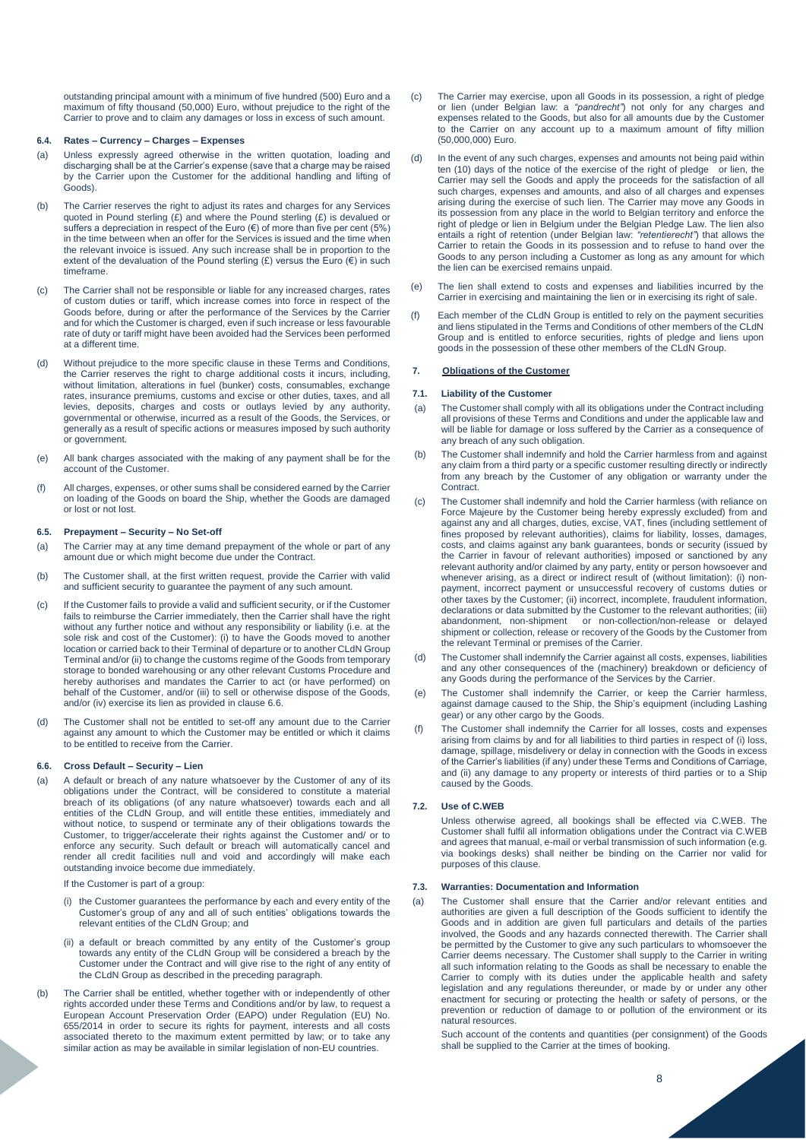outstanding principal amount with a minimum of five hundred (500) Euro and a maximum of fifty thousand (50,000) Euro, without prejudice to the right of the Carrier to prove and to claim any damages or loss in excess of such amount.

# **6.4. Rates – Currency – Charges – Expenses**

- (a) Unless expressly agreed otherwise in the written quotation, loading and discharging shall be at the Carrier's expense (save that a charge may be raised by the Carrier upon the Customer for the additional handling and lifting of Goods).
- (b) The Carrier reserves the right to adjust its rates and charges for any Services quoted in Pound sterling (£) and where the Pound sterling (£) is devalued or suffers a depreciation in respect of the Euro  $(\epsilon)$  of more than five per cent (5%) in the time between when an offer for the Services is issued and the time when the relevant invoice is issued. Any such increase shall be in proportion to the extent of the devaluation of the Pound sterling  $(E)$  versus the Euro  $(E)$  in such timeframe.
- (c) The Carrier shall not be responsible or liable for any increased charges, rates of custom duties or tariff, which increase comes into force in respect of the Goods before, during or after the performance of the Services by the Carrier and for which the Customer is charged, even if such increase or less favourable rate of duty or tariff might have been avoided had the Services been performed at a different time.
- (d) Without prejudice to the more specific clause in these Terms and Conditions, the Carrier reserves the right to charge additional costs it incurs, including, without limitation, alterations in fuel (bunker) costs, consumables, exchange rates, insurance premiums, customs and excise or other duties, taxes, and all levies, deposits, charges and costs or outlays levied by any authority, governmental or otherwise, incurred as a result of the Goods, the Services, or generally as a result of specific actions or measures imposed by such authority or government.
- (e) All bank charges associated with the making of any payment shall be for the account of the Customer.
- (f) All charges, expenses, or other sums shall be considered earned by the Carrier on loading of the Goods on board the Ship, whether the Goods are damaged or lost or not lost.

# **6.5. Prepayment – Security – No Set-off**

- (a) The Carrier may at any time demand prepayment of the whole or part of any amount due or which might become due under the Contract.
- (b) The Customer shall, at the first written request, provide the Carrier with valid and sufficient security to guarantee the payment of any such amount.
- (c) If the Customer fails to provide a valid and sufficient security, or if the Customer fails to reimburse the Carrier immediately, then the Carrier shall have the right without any further notice and without any responsibility or liability (i.e. at the sole risk and cost of the Customer): (i) to have the Goods moved to another location or carried back to their Terminal of departure or to another CLdN Group Terminal and/or (ii) to change the customs regime of the Goods from temporary storage to bonded warehousing or any other relevant Customs Procedure and hereby authorises and mandates the Carrier to act (or have performed) on behalf of the Customer, and/or (iii) to sell or otherwise dispose of the Goods, and/or (iv) exercise its lien as provided in clause 6.6.
- (d) The Customer shall not be entitled to set-off any amount due to the Carrier against any amount to which the Customer may be entitled or which it claims to be entitled to receive from the Carrier.

## **6.6. Cross Default – Security – Lien**

(a) A default or breach of any nature whatsoever by the Customer of any of its obligations under the Contract, will be considered to constitute a material breach of its obligations (of any nature whatsoever) towards each and all entities of the CLdN Group, and will entitle these entities, immediately and without notice, to suspend or terminate any of their obligations towards the Customer, to trigger/accelerate their rights against the Customer and/ or to enforce any security. Such default or breach will automatically cancel and render all credit facilities null and void and accordingly will make each outstanding invoice become due immediately.

If the Customer is part of a group:

- (i) the Customer guarantees the performance by each and every entity of the Customer's group of any and all of such entities' obligations towards the relevant entities of the CLdN Group; and
- (ii) a default or breach committed by any entity of the Customer's group towards any entity of the CLdN Group will be considered a breach by the Customer under the Contract and will give rise to the right of any entity of the CLdN Group as described in the preceding paragraph.
- (b) The Carrier shall be entitled, whether together with or independently of other rights accorded under these Terms and Conditions and/or by law, to request a European Account Preservation Order (EAPO) under Regulation (EU) No. 655/2014 in order to secure its rights for payment, interests and all costs associated thereto to the maximum extent permitted by law; or to take any similar action as may be available in similar legislation of non-EU countries.
- (c) The Carrier may exercise, upon all Goods in its possession, a right of pledge or lien (under Belgian law: a *"pandrecht"*) not only for any charges and expenses related to the Goods, but also for all amounts due by the Customer to the Carrier on any account up to a maximum amount of fifty million (50,000,000) Euro.
- (d) In the event of any such charges, expenses and amounts not being paid within ten (10) days of the notice of the exercise of the right of pledge or lien, the Carrier may sell the Goods and apply the proceeds for the satisfaction of all such charges, expenses and amounts, and also of all charges and expenses arising during the exercise of such lien. The Carrier may move any Goods in its possession from any place in the world to Belgian territory and enforce the right of pledge or lien in Belgium under the Belgian Pledge Law. The lien also entails a right of retention (under Belgian law: *"retentierecht"*) that allows the Carrier to retain the Goods in its possession and to refuse to hand over the Goods to any person including a Customer as long as any amount for which the lien can be exercised remains unpaid.
- (e) The lien shall extend to costs and expenses and liabilities incurred by the Carrier in exercising and maintaining the lien or in exercising its right of sale.
- (f) Each member of the CLdN Group is entitled to rely on the payment securities and liens stipulated in the Terms and Conditions of other members of the CLdN Group and is entitled to enforce securities, rights of pledge and liens upon goods in the possession of these other members of the CLdN Group.

# **7. Obligations of the Customer**

# **7.1. Liability of the Customer**

- (a) The Customer shall comply with all its obligations under the Contract including all provisions of these Terms and Conditions and under the applicable law and will be liable for damage or loss suffered by the Carrier as a consequence of any breach of any such obligation.
- (b) The Customer shall indemnify and hold the Carrier harmless from and against any claim from a third party or a specific customer resulting directly or indirectly from any breach by the Customer of any obligation or warranty under the Contract.
- (c) The Customer shall indemnify and hold the Carrier harmless (with reliance on Force Majeure by the Customer being hereby expressly excluded) from and against any and all charges, duties, excise, VAT, fines (including settlement of fines proposed by relevant authorities), claims for liability, losses, damages, costs, and claims against any bank guarantees, bonds or security (issued by the Carrier in favour of relevant authorities) imposed or sanctioned by any relevant authority and/or claimed by any party, entity or person howsoever and whenever arising, as a direct or indirect result of (without limitation): (i) nonpayment, incorrect payment or unsuccessful recovery of customs duties or other taxes by the Customer; (ii) incorrect, incomplete, fraudulent information, declarations or data submitted by the Customer to the relevant authorities; (iii) abandonment, non-shipment or non-collection/non-release or delayed shipment or collection, release or recovery of the Goods by the Customer from the relevant Terminal or premises of the Carrier.
- The Customer shall indemnify the Carrier against all costs, expenses, liabilities and any other consequences of the (machinery) breakdown or deficiency of any Goods during the performance of the Services by the Carrier.
- (e) The Customer shall indemnify the Carrier, or keep the Carrier harmless, against damage caused to the Ship, the Ship's equipment (including Lashing gear) or any other cargo by the Goods.
- (f) The Customer shall indemnify the Carrier for all losses, costs and expenses arising from claims by and for all liabilities to third parties in respect of (i) loss, damage, spillage, misdelivery or delay in connection with the Goods in excess of the Carrier's liabilities (if any) under these Terms and Conditions of Carriage, and (ii) any damage to any property or interests of third parties or to a Ship caused by the Goods.

# **7.2. Use of C.WEB**

Unless otherwise agreed, all bookings shall be effected via C.WEB. The Customer shall fulfil all information obligations under the Contract via C.WEB and agrees that manual, e-mail or verbal transmission of such information (e.g. via bookings desks) shall neither be binding on the Carrier nor valid for purposes of this clause.

# **7.3. Warranties: Documentation and Information**

(a) The Customer shall ensure that the Carrier and/or relevant entities and authorities are given a full description of the Goods sufficient to identify the Goods and in addition are given full particulars and details of the parties involved, the Goods and any hazards connected therewith. The Carrier shall be permitted by the Customer to give any such particulars to whomsoever the Carrier deems necessary. The Customer shall supply to the Carrier in writing all such information relating to the Goods as shall be necessary to enable the Carrier to comply with its duties under the applicable health and safety legislation and any regulations thereunder, or made by or under any other enactment for securing or protecting the health or safety of persons, or the prevention or reduction of damage to or pollution of the environment or its natural resources.

Such account of the contents and quantities (per consignment) of the Goods shall be supplied to the Carrier at the times of booking.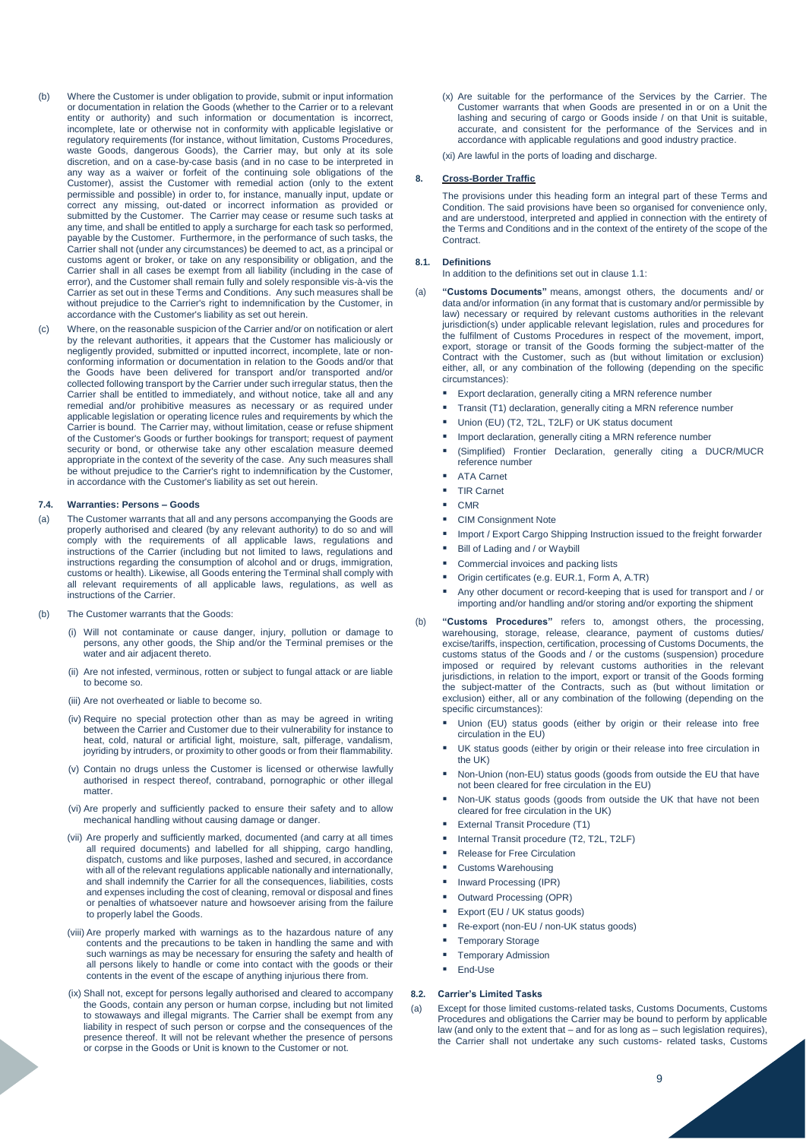- (b) Where the Customer is under obligation to provide, submit or input information or documentation in relation the Goods (whether to the Carrier or to a relevant entity or authority) and such information or documentation is incorrect, incomplete, late or otherwise not in conformity with applicable legislative or regulatory requirements (for instance, without limitation, Customs Procedures, waste Goods, dangerous Goods), the Carrier may, but only at its sole discretion, and on a case-by-case basis (and in no case to be interpreted in any way as a waiver or forfeit of the continuing sole obligations of the Customer), assist the Customer with remedial action (only to the extent permissible and possible) in order to, for instance, manually input, update or correct any missing, out-dated or incorrect information as provided or submitted by the Customer. The Carrier may cease or resume such tasks at any time, and shall be entitled to apply a surcharge for each task so performed, payable by the Customer. Furthermore, in the performance of such tasks, the Carrier shall not (under any circumstances) be deemed to act, as a principal or customs agent or broker, or take on any responsibility or obligation, and the Carrier shall in all cases be exempt from all liability (including in the case of error), and the Customer shall remain fully and solely responsible vis-à-vis the Carrier as set out in these Terms and Conditions. Any such measures shall be without prejudice to the Carrier's right to indemnification by the Customer, in accordance with the Customer's liability as set out herein.
- (c) Where, on the reasonable suspicion of the Carrier and/or on notification or alert by the relevant authorities, it appears that the Customer has maliciously or negligently provided, submitted or inputted incorrect, incomplete, late or nonconforming information or documentation in relation to the Goods and/or that the Goods have been delivered for transport and/or transported and/or collected following transport by the Carrier under such irregular status, then the Carrier shall be entitled to immediately, and without notice, take all and any remedial and/or prohibitive measures as necessary or as required under applicable legislation or operating licence rules and requirements by which the Carrier is bound. The Carrier may, without limitation, cease or refuse shipment of the Customer's Goods or further bookings for transport; request of payment security or bond, or otherwise take any other escalation measure deemed appropriate in the context of the severity of the case. Any such measures shall be without prejudice to the Carrier's right to indemnification by the Customer, in accordance with the Customer's liability as set out herein.

## **7.4. Warranties: Persons – Goods**

- (a) The Customer warrants that all and any persons accompanying the Goods are properly authorised and cleared (by any relevant authority) to do so and will comply with the requirements of all applicable laws, regulations and instructions of the Carrier (including but not limited to laws, regulations and instructions regarding the consumption of alcohol and or drugs, immigration, customs or health). Likewise, all Goods entering the Terminal shall comply with all relevant requirements of all applicable laws, regulations, as well as instructions of the Carrier.
- (b) The Customer warrants that the Goods:
	- (i) Will not contaminate or cause danger, injury, pollution or damage to persons, any other goods, the Ship and/or the Terminal premises or the water and air adjacent thereto.
	- (ii) Are not infested, verminous, rotten or subject to fungal attack or are liable to become so.
	- (iii) Are not overheated or liable to become so.
	- (iv) Require no special protection other than as may be agreed in writing between the Carrier and Customer due to their vulnerability for instance to heat, cold, natural or artificial light, moisture, salt, pilferage, vandalism, joyriding by intruders, or proximity to other goods or from their flammability.
	- (v) Contain no drugs unless the Customer is licensed or otherwise lawfully authorised in respect thereof, contraband, pornographic or other illegal matter
	- (vi) Are properly and sufficiently packed to ensure their safety and to allow mechanical handling without causing damage or danger.
	- (vii) Are properly and sufficiently marked, documented (and carry at all times all required documents) and labelled for all shipping, cargo handling, dispatch, customs and like purposes, lashed and secured, in accordance with all of the relevant regulations applicable nationally and internationally, and shall indemnify the Carrier for all the consequences, liabilities, costs and expenses including the cost of cleaning, removal or disposal and fines or penalties of whatsoever nature and howsoever arising from the failure to properly label the Goods.
	- (viii) Are properly marked with warnings as to the hazardous nature of any contents and the precautions to be taken in handling the same and with such warnings as may be necessary for ensuring the safety and health of all persons likely to handle or come into contact with the goods or their contents in the event of the escape of anything injurious there from.
	- (ix) Shall not, except for persons legally authorised and cleared to accompany the Goods, contain any person or human corpse, including but not limited to stowaways and illegal migrants. The Carrier shall be exempt from any liability in respect of such person or corpse and the consequences of the presence thereof. It will not be relevant whether the presence of persons or corpse in the Goods or Unit is known to the Customer or not.

(x) Are suitable for the performance of the Services by the Carrier. The Customer warrants that when Goods are presented in or on a Unit the lashing and securing of cargo or Goods inside / on that Unit is suitable, accurate, and consistent for the performance of the Services and in accordance with applicable regulations and good industry practice.

(xi) Are lawful in the ports of loading and discharge.

### **8. Cross-Border Traffic**

The provisions under this heading form an integral part of these Terms and Condition. The said provisions have been so organised for convenience only, and are understood, interpreted and applied in connection with the entirety of the Terms and Conditions and in the context of the entirety of the scope of the **Contract.** 

# **8.1. Definitions**

In addition to the definitions set out in clause 1.1:

- (a) **"Customs Documents"** means, amongst others, the documents and/ or data and/or information (in any format that is customary and/or permissible by law) necessary or required by relevant customs authorities in the relevant jurisdiction(s) under applicable relevant legislation, rules and procedures for the fulfilment of Customs Procedures in respect of the movement, import, export, storage or transit of the Goods forming the subject-matter of the Contract with the Customer, such as (but without limitation or exclusion) either, all, or any combination of the following (depending on the specific circumstances):
	- Export declaration, generally citing a MRN reference number
	- Transit (T1) declaration, generally citing a MRN reference number
	- Union (EU) (T2, T2L, T2LF) or UK status document
	- Import declaration, generally citing a MRN reference number
	- (Simplified) Frontier Declaration, generally citing a DUCR/MUCR reference number
	- ATA Carnet
	- TIR Carnet
	- CMR
	- CIM Consignment Note
	- Import / Export Cargo Shipping Instruction issued to the freight forwarder
	- Bill of Lading and / or Waybill
	- Commercial invoices and packing lists
	- Origin certificates (e.g. EUR.1, Form A, A.TR)
	- Any other document or record-keeping that is used for transport and / or importing and/or handling and/or storing and/or exporting the shipment
- (b) **"Customs Procedures"** refers to, amongst others, the processing, warehousing, storage, release, clearance, payment of customs duties/ excise/tariffs, inspection, certification, processing of Customs Documents, the customs status of the Goods and / or the customs (suspension) procedure imposed or required by relevant customs authorities in the relevant jurisdictions, in relation to the import, export or transit of the Goods forming the subject-matter of the Contracts, such as (but without limitation or exclusion) either, all or any combination of the following (depending on the specific circumstances):
	- Union (EU) status goods (either by origin or their release into free circulation in the EU)
	- UK status goods (either by origin or their release into free circulation in the UK)
	- Non-Union (non-EU) status goods (goods from outside the EU that have not been cleared for free circulation in the EU)
	- Non-UK status goods (goods from outside the UK that have not been cleared for free circulation in the UK)
	- External Transit Procedure (T1)
	- Internal Transit procedure (T2, T2L, T2LF)
	- Release for Free Circulation
	- Customs Warehousing
	- Inward Processing (IPR)
	- Outward Processing (OPR)
	- Export (EU / UK status goods)
	- Re-export (non-EU / non-UK status goods)
	-
	- Temporary Storage
	- Temporary Admission
	- End-Use

# **8.2. Carrier's Limited Tasks**

(a) Except for those limited customs-related tasks, Customs Documents, Customs Procedures and obligations the Carrier may be bound to perform by applicable law (and only to the extent that – and for as long as – such legislation requires), the Carrier shall not undertake any such customs- related tasks, Customs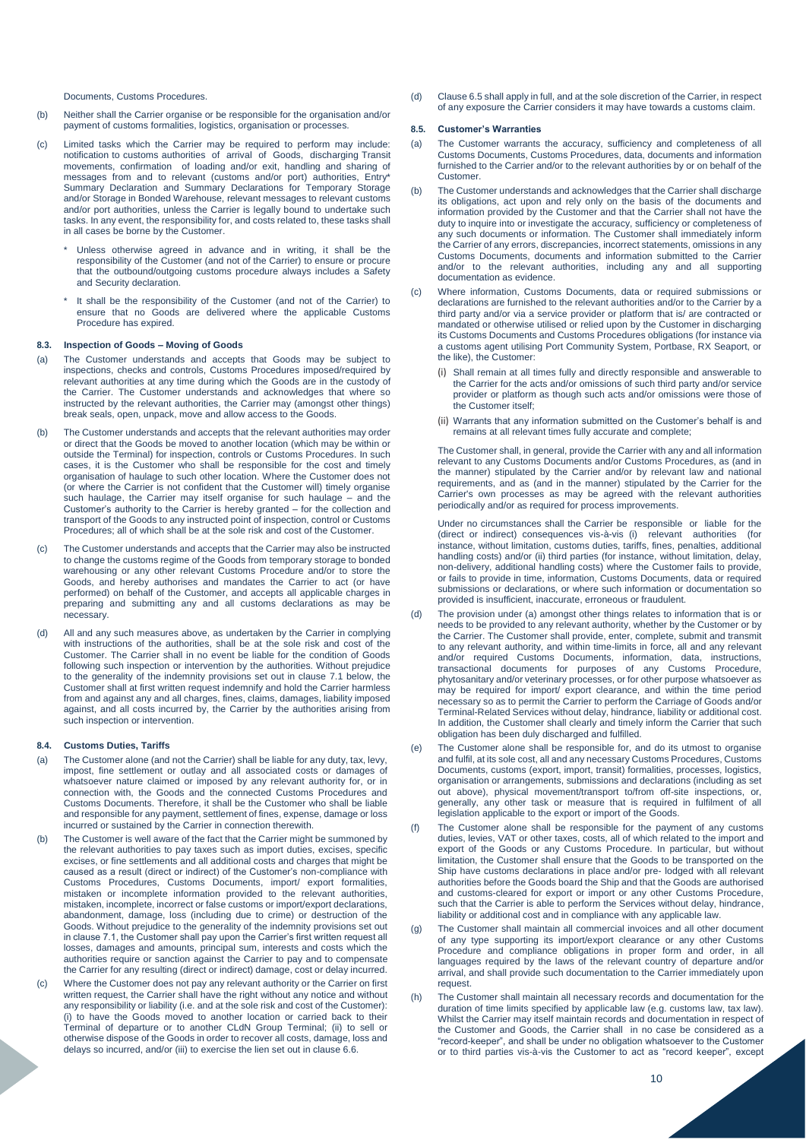Documents, Customs Procedures.

- (b) Neither shall the Carrier organise or be responsible for the organisation and/or payment of customs formalities, logistics, organisation or processes.
- (c) Limited tasks which the Carrier may be required to perform may include: notification to customs authorities of arrival of Goods, discharging Transit movements, confirmation of loading and/or exit, handling and sharing of messages from and to relevant (customs and/or port) authorities, Entry\* Summary Declaration and Summary Declarations for Temporary Storage and/or Storage in Bonded Warehouse, relevant messages to relevant customs and/or port authorities, unless the Carrier is legally bound to undertake such tasks. In any event, the responsibility for, and costs related to, these tasks shall in all cases be borne by the Customer.
	- \* Unless otherwise agreed in advance and in writing, it shall be the responsibility of the Customer (and not of the Carrier) to ensure or procure that the outbound/outgoing customs procedure always includes a Safety and Security declaration.
	- It shall be the responsibility of the Customer (and not of the Carrier) to ensure that no Goods are delivered where the applicable Customs Procedure has expired.

# **8.3. Inspection of Goods – Moving of Goods**

- (a) The Customer understands and accepts that Goods may be subject to inspections, checks and controls, Customs Procedures imposed/required by relevant authorities at any time during which the Goods are in the custody of the Carrier. The Customer understands and acknowledges that where so instructed by the relevant authorities, the Carrier may (amongst other things) break seals, open, unpack, move and allow access to the Goods.
- (b) The Customer understands and accepts that the relevant authorities may order or direct that the Goods be moved to another location (which may be within or outside the Terminal) for inspection, controls or Customs Procedures. In such cases, it is the Customer who shall be responsible for the cost and timely organisation of haulage to such other location. Where the Customer does not (or where the Carrier is not confident that the Customer will) timely organise such haulage, the Carrier may itself organise for such haulage – and the Customer's authority to the Carrier is hereby granted – for the collection and transport of the Goods to any instructed point of inspection, control or Customs Procedures; all of which shall be at the sole risk and cost of the Customer.
- (c) The Customer understands and accepts that the Carrier may also be instructed to change the customs regime of the Goods from temporary storage to bonded warehousing or any other relevant Customs Procedure and/or to store the Goods, and hereby authorises and mandates the Carrier to act (or have performed) on behalf of the Customer, and accepts all applicable charges in preparing and submitting any and all customs declarations as may be necessary.
- (d) All and any such measures above, as undertaken by the Carrier in complying with instructions of the authorities, shall be at the sole risk and cost of the Customer. The Carrier shall in no event be liable for the condition of Goods following such inspection or intervention by the authorities. Without prejudice to the generality of the indemnity provisions set out in clause 7.1 below, the Customer shall at first written request indemnify and hold the Carrier harmless from and against any and all charges, fines, claims, damages, liability imposed against, and all costs incurred by, the Carrier by the authorities arising from such inspection or intervention.

# **8.4. Customs Duties, Tariffs**

- (a) The Customer alone (and not the Carrier) shall be liable for any duty, tax, levy, impost, fine settlement or outlay and all associated costs or damages of whatsoever nature claimed or imposed by any relevant authority for, or in connection with, the Goods and the connected Customs Procedures and Customs Documents. Therefore, it shall be the Customer who shall be liable and responsible for any payment, settlement of fines, expense, damage or loss incurred or sustained by the Carrier in connection therewith.
- The Customer is well aware of the fact that the Carrier might be summoned by the relevant authorities to pay taxes such as import duties, excises, specific excises, or fine settlements and all additional costs and charges that might be caused as a result (direct or indirect) of the Customer's non-compliance with Customs Procedures, Customs Documents, import/ export formalities, mistaken or incomplete information provided to the relevant authorities, mistaken, incomplete, incorrect or false customs or import/export declarations, abandonment, damage, loss (including due to crime) or destruction of the Goods. Without prejudice to the generality of the indemnity provisions set out in clause 7.1, the Customer shall pay upon the Carrier's first written request all losses, damages and amounts, principal sum, interests and costs which the authorities require or sanction against the Carrier to pay and to compensate the Carrier for any resulting (direct or indirect) damage, cost or delay incurred.
- (c) Where the Customer does not pay any relevant authority or the Carrier on first written request, the Carrier shall have the right without any notice and without any responsibility or liability (i.e. and at the sole risk and cost of the Customer): (i) to have the Goods moved to another location or carried back to their Terminal of departure or to another CLdN Group Terminal; (ii) to sell or otherwise dispose of the Goods in order to recover all costs, damage, loss and delays so incurred, and/or (iii) to exercise the lien set out in clause 6.6.

(d) Clause 6.5 shall apply in full, and at the sole discretion of the Carrier, in respect of any exposure the Carrier considers it may have towards a customs claim.

# **8.5. Customer's Warranties**

- (a) The Customer warrants the accuracy, sufficiency and completeness of all Customs Documents, Customs Procedures, data, documents and information furnished to the Carrier and/or to the relevant authorities by or on behalf of the Customer.
- (b) The Customer understands and acknowledges that the Carrier shall discharge its obligations, act upon and rely only on the basis of the documents and information provided by the Customer and that the Carrier shall not have the duty to inquire into or investigate the accuracy, sufficiency or completeness of any such documents or information. The Customer shall immediately inform the Carrier of any errors, discrepancies, incorrect statements, omissions in any Customs Documents, documents and information submitted to the Carrier and/or to the relevant authorities, including any and all supporting documentation as evidence.
- (c) Where information, Customs Documents, data or required submissions or declarations are furnished to the relevant authorities and/or to the Carrier by a third party and/or via a service provider or platform that is/ are contracted or mandated or otherwise utilised or relied upon by the Customer in discharging its Customs Documents and Customs Procedures obligations (for instance via a customs agent utilising Port Community System, Portbase, RX Seaport, or the like), the Customer:
	- Shall remain at all times fully and directly responsible and answerable to the Carrier for the acts and/or omissions of such third party and/or service provider or platform as though such acts and/or omissions were those of the Customer itself;
	- (ii) Warrants that any information submitted on the Customer's behalf is and remains at all relevant times fully accurate and complete;

The Customer shall, in general, provide the Carrier with any and all information relevant to any Customs Documents and/or Customs Procedures, as (and in the manner) stipulated by the Carrier and/or by relevant law and national requirements, and as (and in the manner) stipulated by the Carrier for the Carrier's own processes as may be agreed with the relevant authorities periodically and/or as required for process improvements.

Under no circumstances shall the Carrier be responsible or liable for the (direct or indirect) consequences vis-à-vis (i) relevant authorities (for instance, without limitation, customs duties, tariffs, fines, penalties, additional handling costs) and/or (ii) third parties (for instance, without limitation, delay, non-delivery, additional handling costs) where the Customer fails to provide, or fails to provide in time, information, Customs Documents, data or required submissions or declarations, or where such information or documentation so provided is insufficient, inaccurate, erroneous or fraudulent.

- (d) The provision under (a) amongst other things relates to information that is or needs to be provided to any relevant authority, whether by the Customer or by the Carrier. The Customer shall provide, enter, complete, submit and transmit to any relevant authority, and within time-limits in force, all and any relevant and/or required Customs Documents, information, data, instructions, transactional documents for purposes of any Customs Procedure, phytosanitary and/or veterinary processes, or for other purpose whatsoever as may be required for import/ export clearance, and within the time period necessary so as to permit the Carrier to perform the Carriage of Goods and/or Terminal-Related Services without delay, hindrance, liability or additional cost. In addition, the Customer shall clearly and timely inform the Carrier that such obligation has been duly discharged and fulfilled.
- The Customer alone shall be responsible for, and do its utmost to organise and fulfil, at its sole cost, all and any necessary Customs Procedures, Customs Documents, customs (export, import, transit) formalities, processes, logistics, organisation or arrangements, submissions and declarations (including as set out above), physical movement/transport to/from off-site inspections, or, generally, any other task or measure that is required in fulfilment of all legislation applicable to the export or import of the Goods.
- The Customer alone shall be responsible for the payment of any customs duties, levies, VAT or other taxes, costs, all of which related to the import and export of the Goods or any Customs Procedure. In particular, but without limitation, the Customer shall ensure that the Goods to be transported on the Ship have customs declarations in place and/or pre- lodged with all relevant authorities before the Goods board the Ship and that the Goods are authorised and customs-cleared for export or import or any other Customs Procedure, such that the Carrier is able to perform the Services without delay, hindrance, liability or additional cost and in compliance with any applicable law.
- (g) The Customer shall maintain all commercial invoices and all other document of any type supporting its import/export clearance or any other Customs Procedure and compliance obligations in proper form and order, in all languages required by the laws of the relevant country of departure and/or arrival, and shall provide such documentation to the Carrier immediately upon request.
- The Customer shall maintain all necessary records and documentation for the duration of time limits specified by applicable law (e.g. customs law, tax law). Whilst the Carrier may itself maintain records and documentation in respect of the Customer and Goods, the Carrier shall in no case be considered as a "record-keeper", and shall be under no obligation whatsoever to the Customer or to third parties vis-à-vis the Customer to act as "record keeper", except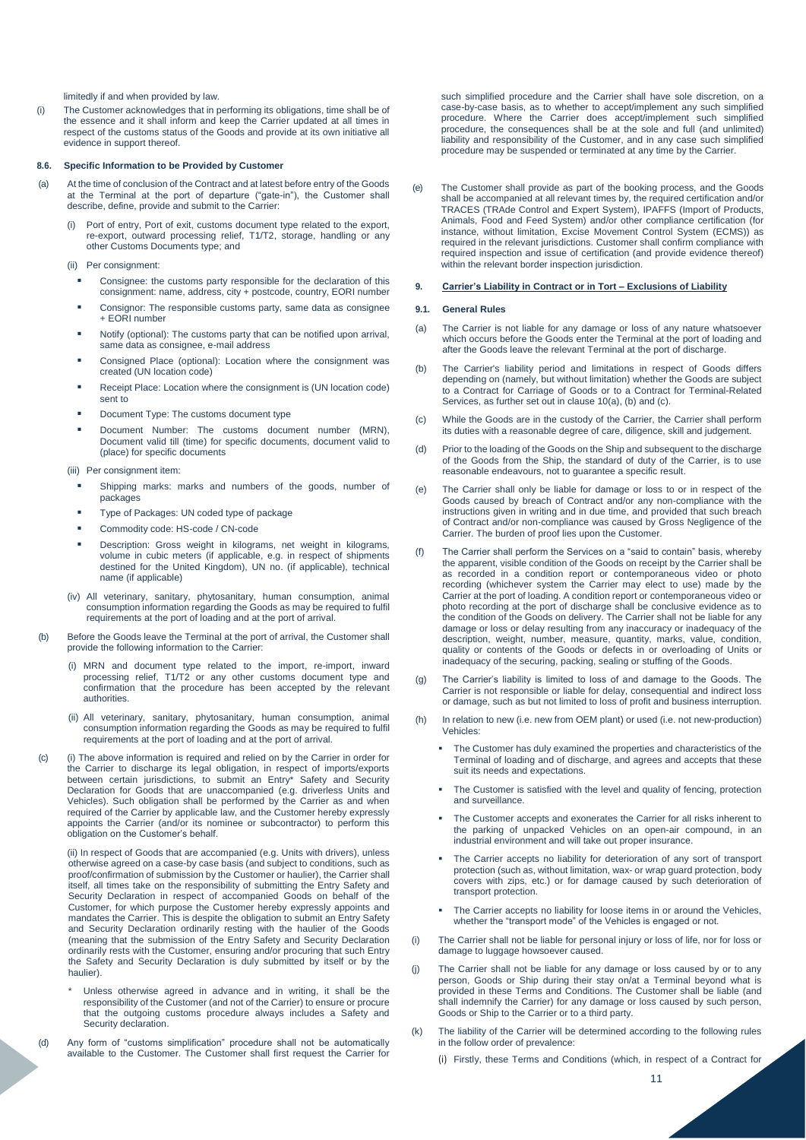limitedly if and when provided by law.

(i) The Customer acknowledges that in performing its obligations, time shall be of the essence and it shall inform and keep the Carrier updated at all times in respect of the customs status of the Goods and provide at its own initiative all evidence in support thereof.

### **8.6. Specific Information to be Provided by Customer**

- (a) At the time of conclusion of the Contract and at latest before entry of the Goods at the Terminal at the port of departure ("gate-in"), the Customer shall describe, define, provide and submit to the Carrier:
	- (i) Port of entry, Port of exit, customs document type related to the export, re-export, outward processing relief, T1/T2, storage, handling or any other Customs Documents type; and

(ii) Per consignment:

- Consignee: the customs party responsible for the declaration of this consignment: name, address, city + postcode, country, EORI number
- Consignor: The responsible customs party, same data as consignee  $+$  EORI number
- Notify (optional): The customs party that can be notified upon arrival, same data as consignee, e-mail address
- Consigned Place (optional): Location where the consignment was created (UN location code)
- Receipt Place: Location where the consignment is (UN location code) sent to
- Document Type: The customs document type
- Document Number: The customs document number (MRN), Document valid till (time) for specific documents, document valid to (place) for specific documents

(iii) Per consignment item:

- Shipping marks: marks and numbers of the goods, number of packages
- Type of Packages: UN coded type of package
- Commodity code: HS-code / CN-code
- Description: Gross weight in kilograms, net weight in kilograms, volume in cubic meters (if applicable, e.g. in respect of shipments destined for the United Kingdom), UN no. (if applicable), technical name (if applicable)
- (iv) All veterinary, sanitary, phytosanitary, human consumption, animal consumption information regarding the Goods as may be required to fulfil requirements at the port of loading and at the port of arrival.
- (b) Before the Goods leave the Terminal at the port of arrival, the Customer shall provide the following information to the Carrier:
	- (i) MRN and document type related to the import, re-import, inward processing relief, T1/T2 or any other customs document type and confirmation that the procedure has been accepted by the relevant authorities.
	- (ii) All veterinary, sanitary, phytosanitary, human consumption, animal consumption information regarding the Goods as may be required to fulfil requirements at the port of loading and at the port of arrival.
- (c) (i) The above information is required and relied on by the Carrier in order for the Carrier to discharge its legal obligation, in respect of imports/exports between certain jurisdictions, to submit an Entry\* Safety and Security Declaration for Goods that are unaccompanied (e.g. driverless Units and Vehicles). Such obligation shall be performed by the Carrier as and when required of the Carrier by applicable law, and the Customer hereby expressly appoints the Carrier (and/or its nominee or subcontractor) to perform this obligation on the Customer's behalf.

(ii) In respect of Goods that are accompanied (e.g. Units with drivers), unless otherwise agreed on a case-by case basis (and subject to conditions, such as proof/confirmation of submission by the Customer or haulier), the Carrier shall itself, all times take on the responsibility of submitting the Entry Safety and Security Declaration in respect of accompanied Goods on behalf of the Customer, for which purpose the Customer hereby expressly appoints and mandates the Carrier. This is despite the obligation to submit an Entry Safety and Security Declaration ordinarily resting with the haulier of the Goods (meaning that the submission of the Entry Safety and Security Declaration ordinarily rests with the Customer, ensuring and/or procuring that such Entry the Safety and Security Declaration is duly submitted by itself or by the haulier).

- Unless otherwise agreed in advance and in writing, it shall be the responsibility of the Customer (and not of the Carrier) to ensure or procure that the outgoing customs procedure always includes a Safety and Security declaration.
- (d) Any form of "customs simplification" procedure shall not be automatically available to the Customer. The Customer shall first request the Carrier for

such simplified procedure and the Carrier shall have sole discretion, on a case-by-case basis, as to whether to accept/implement any such simplified procedure. Where the Carrier does accept/implement such simplified procedure, the consequences shall be at the sole and full (and unlimited) liability and responsibility of the Customer, and in any case such simplified procedure may be suspended or terminated at any time by the Carrier.

(e) The Customer shall provide as part of the booking process, and the Goods shall be accompanied at all relevant times by, the required certification and/or TRACES (TRAde Control and Expert System), IPAFFS (Import of Products, Animals, Food and Feed System) and/or other compliance certification (for instance, without limitation, Excise Movement Control System (ECMS)) as required in the relevant jurisdictions. Customer shall confirm compliance with required inspection and issue of certification (and provide evidence thereof) within the relevant border inspection jurisdiction.

#### **9. Carrier's Liability in Contract or in Tort – Exclusions of Liability**

## **9.1. General Rules**

- (a) The Carrier is not liable for any damage or loss of any nature whatsoever which occurs before the Goods enter the Terminal at the port of loading and after the Goods leave the relevant Terminal at the port of discharge.
- (b) The Carrier's liability period and limitations in respect of Goods differs depending on (namely, but without limitation) whether the Goods are subject to a Contract for Carriage of Goods or to a Contract for Terminal-Related Services, as further set out in clause 10(a), (b) and (c).
- (c) While the Goods are in the custody of the Carrier, the Carrier shall perform its duties with a reasonable degree of care, diligence, skill and judgement.
- (d) Prior to the loading of the Goods on the Ship and subsequent to the discharge of the Goods from the Ship, the standard of duty of the Carrier, is to use reasonable endeavours, not to guarantee a specific result.
- (e) The Carrier shall only be liable for damage or loss to or in respect of the Goods caused by breach of Contract and/or any non-compliance with the instructions given in writing and in due time, and provided that such breach of Contract and/or non-compliance was caused by Gross Negligence of the Carrier. The burden of proof lies upon the Customer.
- (f) The Carrier shall perform the Services on a "said to contain" basis, whereby the apparent, visible condition of the Goods on receipt by the Carrier shall be as recorded in a condition report or contemporaneous video or photo recording (whichever system the Carrier may elect to use) made by the Carrier at the port of loading. A condition report or contemporaneous video or photo recording at the port of discharge shall be conclusive evidence as to the condition of the Goods on delivery. The Carrier shall not be liable for any damage or loss or delay resulting from any inaccuracy or inadequacy of the description, weight, number, measure, quantity, marks, value, condition, quality or contents of the Goods or defects in or overloading of Units or inadequacy of the securing, packing, sealing or stuffing of the Goods.
- (g) The Carrier's liability is limited to loss of and damage to the Goods. The Carrier is not responsible or liable for delay, consequential and indirect loss or damage, such as but not limited to loss of profit and business interruption.
- (h) In relation to new (i.e. new from OEM plant) or used (i.e. not new-production) Vehicles:
	- The Customer has duly examined the properties and characteristics of the Terminal of loading and of discharge, and agrees and accepts that these suit its needs and expectations.
	- The Customer is satisfied with the level and quality of fencing, protection and surveillance.
	- The Customer accepts and exonerates the Carrier for all risks inherent to the parking of unpacked Vehicles on an open-air compound, in an industrial environment and will take out proper insurance.
	- The Carrier accepts no liability for deterioration of any sort of transport protection (such as, without limitation, wax- or wrap guard protection, body covers with zips, etc.) or for damage caused by such deterioration of transport protection.
	- The Carrier accepts no liability for loose items in or around the Vehicles, whether the "transport mode" of the Vehicles is engaged or not.
- (i) The Carrier shall not be liable for personal injury or loss of life, nor for loss or damage to luggage howsoever caused.
- (j) The Carrier shall not be liable for any damage or loss caused by or to any person, Goods or Ship during their stay on/at a Terminal beyond what is provided in these Terms and Conditions. The Customer shall be liable (and shall indemnify the Carrier) for any damage or loss caused by such person, Goods or Ship to the Carrier or to a third party.
- (k) The liability of the Carrier will be determined according to the following rules in the follow order of prevalence:
	- (i) Firstly, these Terms and Conditions (which, in respect of a Contract for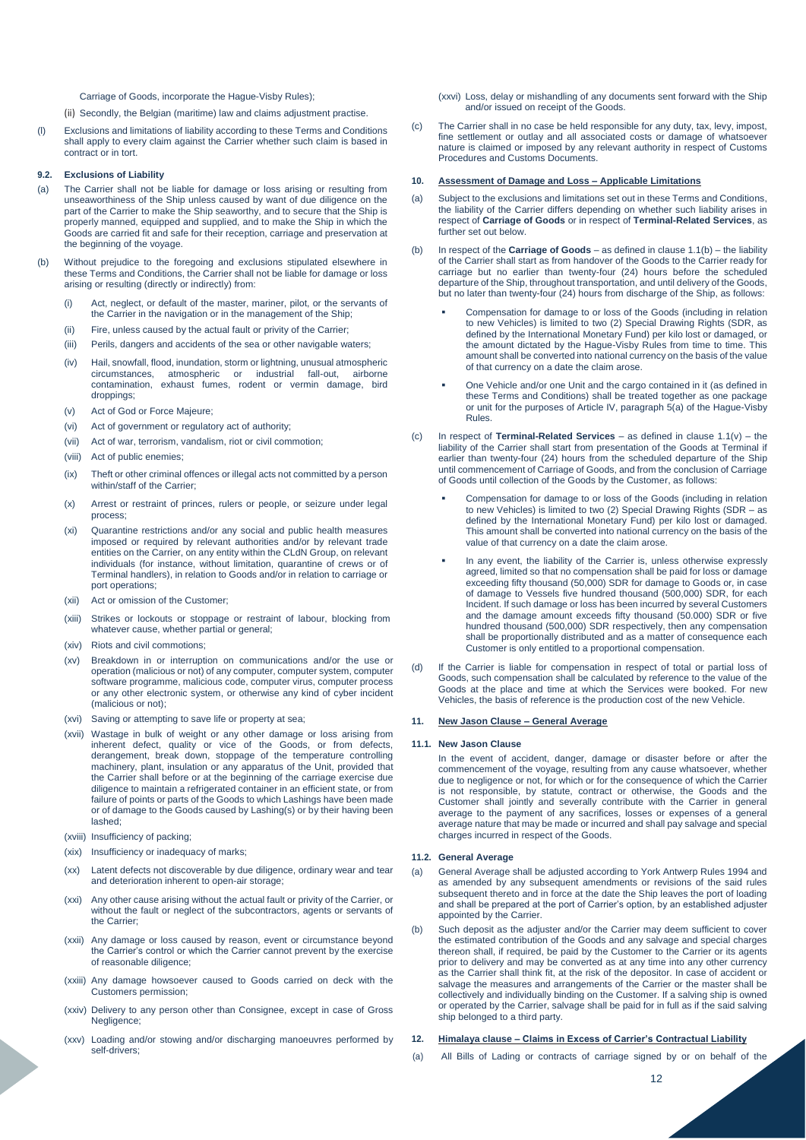Carriage of Goods, incorporate the Hague-Visby Rules);

- (ii) Secondly, the Belgian (maritime) law and claims adjustment practise.
- (l) Exclusions and limitations of liability according to these Terms and Conditions shall apply to every claim against the Carrier whether such claim is based in contract or in tort.

# **9.2. Exclusions of Liability**

- (a) The Carrier shall not be liable for damage or loss arising or resulting from unseaworthiness of the Ship unless caused by want of due diligence on the part of the Carrier to make the Ship seaworthy, and to secure that the Ship is properly manned, equipped and supplied, and to make the Ship in which the Goods are carried fit and safe for their reception, carriage and preservation at the beginning of the voyage.
- (b) Without prejudice to the foregoing and exclusions stipulated elsewhere in these Terms and Conditions, the Carrier shall not be liable for damage or loss arising or resulting (directly or indirectly) from:
	- (i) Act, neglect, or default of the master, mariner, pilot, or the servants of the Carrier in the navigation or in the management of the Ship;
	- (ii) Fire, unless caused by the actual fault or privity of the Carrier;
	- (iii) Perils, dangers and accidents of the sea or other navigable waters;
	- (iv) Hail, snowfall, flood, inundation, storm or lightning, unusual atmospheric circumstances, atmospheric or industrial fall-out, airborne contamination, exhaust fumes, rodent or vermin damage, bird droppings
	- (v) Act of God or Force Majeure;
	- (vi) Act of government or regulatory act of authority;
	- (vii) Act of war, terrorism, vandalism, riot or civil commotion;
	- (viii) Act of public enemies;
	- (ix) Theft or other criminal offences or illegal acts not committed by a person within/staff of the Carrier;
	- (x) Arrest or restraint of princes, rulers or people, or seizure under legal process;
	- (xi) Quarantine restrictions and/or any social and public health measures imposed or required by relevant authorities and/or by relevant trade entities on the Carrier, on any entity within the CLdN Group, on relevant individuals (for instance, without limitation, quarantine of crews or of Terminal handlers), in relation to Goods and/or in relation to carriage or port operations;
	- (xii) Act or omission of the Customer;
	- (xiii) Strikes or lockouts or stoppage or restraint of labour, blocking from whatever cause, whether partial or general;
	- (xiv) Riots and civil commotions;
	- (xv) Breakdown in or interruption on communications and/or the use or operation (malicious or not) of any computer, computer system, computer software programme, malicious code, computer virus, computer process or any other electronic system, or otherwise any kind of cyber incident (malicious or not);
	- (xvi) Saving or attempting to save life or property at sea;
	- (xvii) Wastage in bulk of weight or any other damage or loss arising from inherent defect, quality or vice of the Goods, or from defects, derangement, break down, stoppage of the temperature controlling machinery, plant, insulation or any apparatus of the Unit, provided that the Carrier shall before or at the beginning of the carriage exercise due diligence to maintain a refrigerated container in an efficient state, or from failure of points or parts of the Goods to which Lashings have been made or of damage to the Goods caused by Lashing(s) or by their having been lashed;
	- (xviii) Insufficiency of packing;
	- (xix) Insufficiency or inadequacy of marks;
	- (xx) Latent defects not discoverable by due diligence, ordinary wear and tear and deterioration inherent to open-air storage;
	- (xxi) Any other cause arising without the actual fault or privity of the Carrier, or without the fault or neglect of the subcontractors, agents or servants of the Carrier;
	- (xxii) Any damage or loss caused by reason, event or circumstance beyond the Carrier's control or which the Carrier cannot prevent by the exercise of reasonable diligence;
	- (xxiii) Any damage howsoever caused to Goods carried on deck with the Customers permission;
	- (xxiv) Delivery to any person other than Consignee, except in case of Gross Negligence;
	- (xxv) Loading and/or stowing and/or discharging manoeuvres performed by self-drivers;

(xxvi) Loss, delay or mishandling of any documents sent forward with the Ship and/or issued on receipt of the Goods.

(c) The Carrier shall in no case be held responsible for any duty, tax, levy, impost, fine settlement or outlay and all associated costs or damage of whatsoever nature is claimed or imposed by any relevant authority in respect of Customs Procedures and Customs Documents.

## **10. Assessment of Damage and Loss – Applicable Limitations**

- (a) Subject to the exclusions and limitations set out in these Terms and Conditions, the liability of the Carrier differs depending on whether such liability arises in respect of **Carriage of Goods** or in respect of **Terminal-Related Services**, as further set out below.
- (b) In respect of the **Carriage of Goods** as defined in clause 1.1(b) the liability of the Carrier shall start as from handover of the Goods to the Carrier ready for carriage but no earlier than twenty-four (24) hours before the scheduled departure of the Ship, throughout transportation, and until delivery of the Goods, but no later than twenty-four (24) hours from discharge of the Ship, as follows:
	- Compensation for damage to or loss of the Goods (including in relation to new Vehicles) is limited to two (2) Special Drawing Rights (SDR, as defined by the International Monetary Fund) per kilo lost or damaged, or the amount dictated by the Hague-Visby Rules from time to time. This amount shall be converted into national currency on the basis of the value of that currency on a date the claim arose.
	- One Vehicle and/or one Unit and the cargo contained in it (as defined in these Terms and Conditions) shall be treated together as one package or unit for the purposes of Article IV, paragraph 5(a) of the Hague-Visby **Rules**
- (c) In respect of **Terminal-Related Services** as defined in clause 1.1(v) the liability of the Carrier shall start from presentation of the Goods at Terminal if earlier than twenty-four (24) hours from the scheduled departure of the Ship until commencement of Carriage of Goods, and from the conclusion of Carriage of Goods until collection of the Goods by the Customer, as follows:
	- Compensation for damage to or loss of the Goods (including in relation to new Vehicles) is limited to two (2) Special Drawing Rights (SDR – as defined by the International Monetary Fund) per kilo lost or damaged. This amount shall be converted into national currency on the basis of the value of that currency on a date the claim arose.
	- In any event, the liability of the Carrier is, unless otherwise expressly agreed, limited so that no compensation shall be paid for loss or damage exceeding fifty thousand (50,000) SDR for damage to Goods or, in case of damage to Vessels five hundred thousand (500,000) SDR, for each Incident. If such damage or loss has been incurred by several Customers and the damage amount exceeds fifty thousand (50.000) SDR or five hundred thousand (500,000) SDR respectively, then any compensation shall be proportionally distributed and as a matter of consequence each Customer is only entitled to a proportional compensation.
- (d) If the Carrier is liable for compensation in respect of total or partial loss of Goods, such compensation shall be calculated by reference to the value of the Goods at the place and time at which the Services were booked. For new Vehicles, the basis of reference is the production cost of the new Vehicle.

### **11. New Jason Clause – General Average**

#### **11.1. New Jason Clause**

In the event of accident, danger, damage or disaster before or after the commencement of the voyage, resulting from any cause whatsoever, whether due to negligence or not, for which or for the consequence of which the Carrier is not responsible, by statute, contract or otherwise, the Goods and the Customer shall jointly and severally contribute with the Carrier in general average to the payment of any sacrifices, losses or expenses of a general average nature that may be made or incurred and shall pay salvage and special charges incurred in respect of the Goods.

## **11.2. General Average**

- (a) General Average shall be adjusted according to York Antwerp Rules 1994 and as amended by any subsequent amendments or revisions of the said rules subsequent thereto and in force at the date the Ship leaves the port of loading and shall be prepared at the port of Carrier's option, by an established adjuster appointed by the Carrier.
- Such deposit as the adjuster and/or the Carrier may deem sufficient to cover the estimated contribution of the Goods and any salvage and special charges thereon shall, if required, be paid by the Customer to the Carrier or its agents prior to delivery and may be converted as at any time into any other currency as the Carrier shall think fit, at the risk of the depositor. In case of accident or salvage the measures and arrangements of the Carrier or the master shall be collectively and individually binding on the Customer. If a salving ship is owned or operated by the Carrier, salvage shall be paid for in full as if the said salving ship belonged to a third party.

# **12. Himalaya clause – Claims in Excess of Carrier's Contractual Liability**

(a) All Bills of Lading or contracts of carriage signed by or on behalf of the